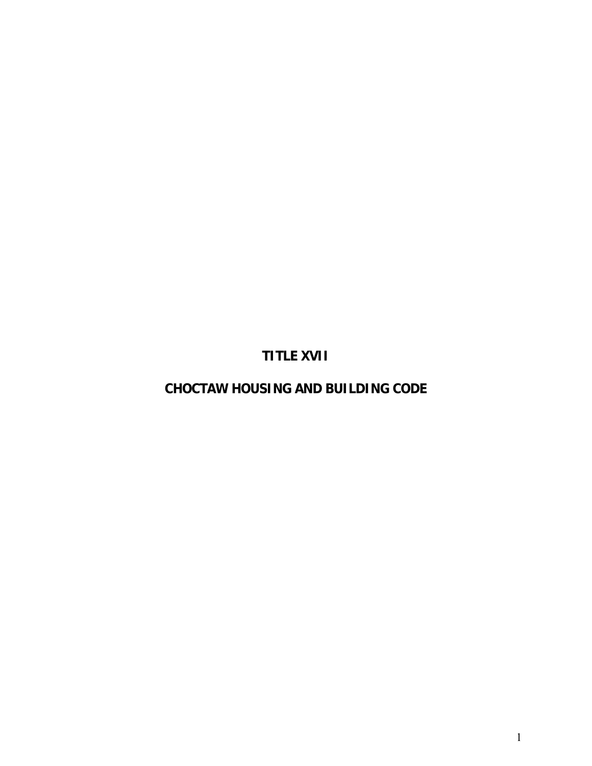**TITLE XVII** 

**CHOCTAW HOUSING AND BUILDING CODE**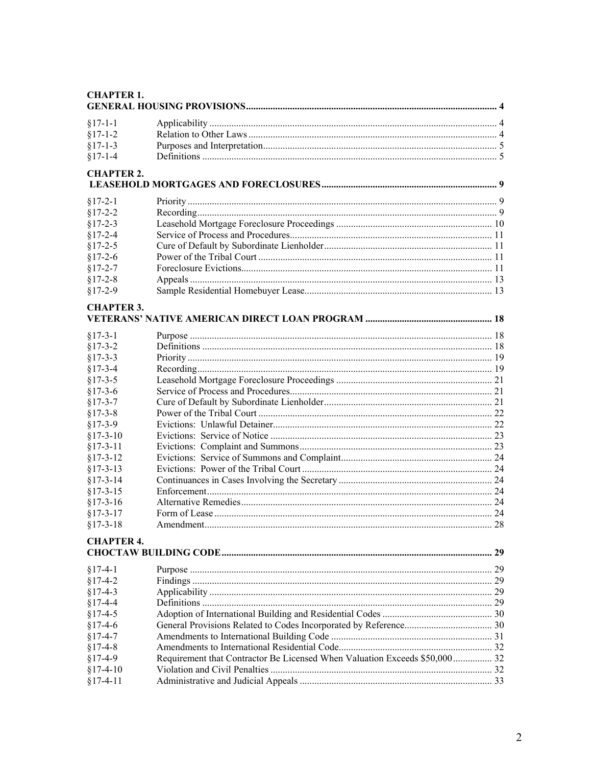## **CHAPTER 1.**

| $§17-1-1$         |                                                                            |    |
|-------------------|----------------------------------------------------------------------------|----|
| $§17-1-2$         |                                                                            |    |
| $§17-1-3$         |                                                                            |    |
| $§17-1-4$         |                                                                            |    |
| <b>CHAPTER 2.</b> |                                                                            |    |
|                   |                                                                            |    |
| $§17-2-1$         |                                                                            |    |
| $§17 - 2 - 2$     |                                                                            |    |
| $§17-2-3$         |                                                                            |    |
| $§17-2-4$         |                                                                            |    |
| $§17-2-5$         |                                                                            |    |
| $§17-2-6$         |                                                                            |    |
| $§17 - 2 - 7$     |                                                                            |    |
| $§17 - 2 - 8$     |                                                                            |    |
| $§17-2-9$         |                                                                            |    |
| <b>CHAPTER 3.</b> |                                                                            |    |
|                   |                                                                            |    |
| $§17-3-1$         |                                                                            |    |
| $§17-3-2$         |                                                                            |    |
| $§17-3-3$         |                                                                            |    |
| $§17-3-4$         |                                                                            |    |
| $§17-3-5$         |                                                                            |    |
| $§17-3-6$         |                                                                            |    |
| $§17-3-7$         |                                                                            |    |
| $§17-3-8$         |                                                                            |    |
| $§17-3-9$         |                                                                            |    |
| $$17-3-10$        |                                                                            |    |
| $§17-3-11$        |                                                                            |    |
| $§17-3-12$        |                                                                            |    |
| $§17-3-13$        |                                                                            |    |
| $§17-3-14$        |                                                                            |    |
| $§17-3-15$        |                                                                            |    |
| $$17-3-16$        |                                                                            |    |
| $§17-3-17$        |                                                                            |    |
| $§17-3-18$        |                                                                            |    |
| <b>CHAPTER 4.</b> |                                                                            |    |
|                   |                                                                            | 29 |
| $§17-4-1$         |                                                                            |    |
| $§17-4-2$         |                                                                            |    |
| $§17-4-3$         |                                                                            |    |
| $§17-4-4$         |                                                                            |    |
| $§17-4-5$         |                                                                            |    |
| $§17-4-6$         |                                                                            |    |
| $§17-4-7$         |                                                                            |    |
| $§17-4-8$         |                                                                            |    |
| $§17-4-9$         | Requirement that Contractor Be Licensed When Valuation Exceeds \$50,000 32 |    |
| $§17-4-10$        |                                                                            |    |
| $§17-4-11$        |                                                                            |    |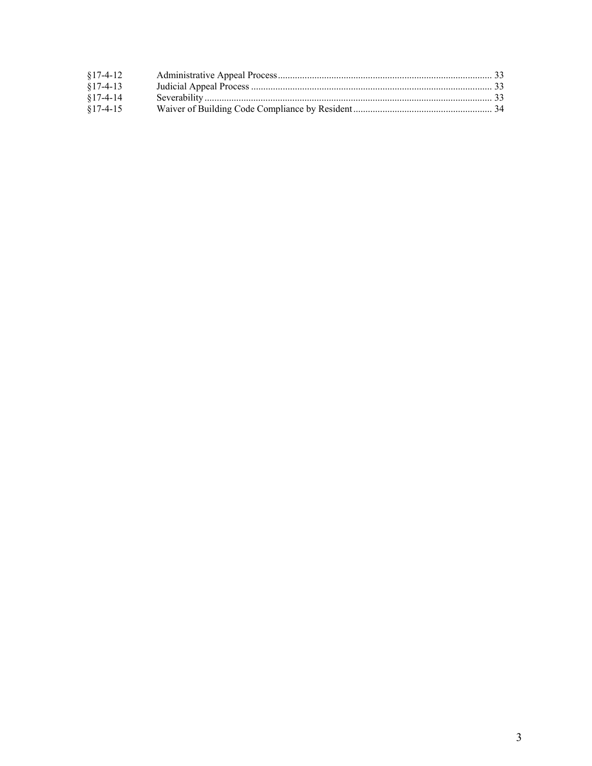| $§17-4-12$ |  |
|------------|--|
| $$17-4-13$ |  |
| $§17-4-14$ |  |
| $§17-4-15$ |  |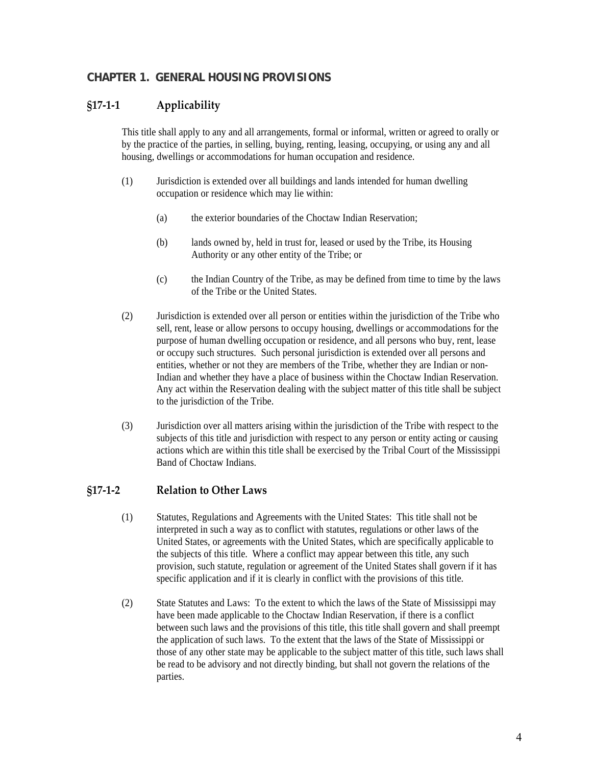# **CHAPTER 1. GENERAL HOUSING PROVISIONS**

# **§17‐1‐1 Applicability**

This title shall apply to any and all arrangements, formal or informal, written or agreed to orally or by the practice of the parties, in selling, buying, renting, leasing, occupying, or using any and all housing, dwellings or accommodations for human occupation and residence.

- (1) Jurisdiction is extended over all buildings and lands intended for human dwelling occupation or residence which may lie within:
	- (a) the exterior boundaries of the Choctaw Indian Reservation;
	- (b) lands owned by, held in trust for, leased or used by the Tribe, its Housing Authority or any other entity of the Tribe; or
	- (c) the Indian Country of the Tribe, as may be defined from time to time by the laws of the Tribe or the United States.
- (2) Jurisdiction is extended over all person or entities within the jurisdiction of the Tribe who sell, rent, lease or allow persons to occupy housing, dwellings or accommodations for the purpose of human dwelling occupation or residence, and all persons who buy, rent, lease or occupy such structures. Such personal jurisdiction is extended over all persons and entities, whether or not they are members of the Tribe, whether they are Indian or non-Indian and whether they have a place of business within the Choctaw Indian Reservation. Any act within the Reservation dealing with the subject matter of this title shall be subject to the jurisdiction of the Tribe.
- (3) Jurisdiction over all matters arising within the jurisdiction of the Tribe with respect to the subjects of this title and jurisdiction with respect to any person or entity acting or causing actions which are within this title shall be exercised by the Tribal Court of the Mississippi Band of Choctaw Indians.

# **§17‐1‐2 Relation to Other Laws**

- (1) Statutes, Regulations and Agreements with the United States: This title shall not be interpreted in such a way as to conflict with statutes, regulations or other laws of the United States, or agreements with the United States, which are specifically applicable to the subjects of this title. Where a conflict may appear between this title, any such provision, such statute, regulation or agreement of the United States shall govern if it has specific application and if it is clearly in conflict with the provisions of this title.
- (2) State Statutes and Laws: To the extent to which the laws of the State of Mississippi may have been made applicable to the Choctaw Indian Reservation, if there is a conflict between such laws and the provisions of this title, this title shall govern and shall preempt the application of such laws. To the extent that the laws of the State of Mississippi or those of any other state may be applicable to the subject matter of this title, such laws shall be read to be advisory and not directly binding, but shall not govern the relations of the parties.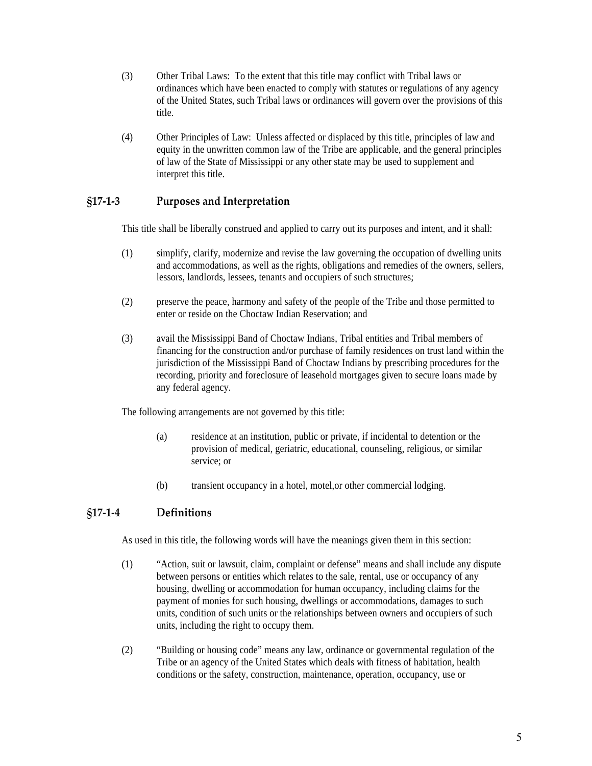- (3) Other Tribal Laws: To the extent that this title may conflict with Tribal laws or ordinances which have been enacted to comply with statutes or regulations of any agency of the United States, such Tribal laws or ordinances will govern over the provisions of this title.
- (4) Other Principles of Law: Unless affected or displaced by this title, principles of law and equity in the unwritten common law of the Tribe are applicable, and the general principles of law of the State of Mississippi or any other state may be used to supplement and interpret this title.

# **§17‐1‐3 Purposes and Interpretation**

This title shall be liberally construed and applied to carry out its purposes and intent, and it shall:

- (1) simplify, clarify, modernize and revise the law governing the occupation of dwelling units and accommodations, as well as the rights, obligations and remedies of the owners, sellers, lessors, landlords, lessees, tenants and occupiers of such structures;
- (2) preserve the peace, harmony and safety of the people of the Tribe and those permitted to enter or reside on the Choctaw Indian Reservation; and
- (3) avail the Mississippi Band of Choctaw Indians, Tribal entities and Tribal members of financing for the construction and/or purchase of family residences on trust land within the jurisdiction of the Mississippi Band of Choctaw Indians by prescribing procedures for the recording, priority and foreclosure of leasehold mortgages given to secure loans made by any federal agency.

The following arrangements are not governed by this title:

- (a) residence at an institution, public or private, if incidental to detention or the provision of medical, geriatric, educational, counseling, religious, or similar service; or
- (b) transient occupancy in a hotel, motel,or other commercial lodging.

# **§17‐1‐4 Definitions**

As used in this title, the following words will have the meanings given them in this section:

- (1) "Action, suit or lawsuit, claim, complaint or defense" means and shall include any dispute between persons or entities which relates to the sale, rental, use or occupancy of any housing, dwelling or accommodation for human occupancy, including claims for the payment of monies for such housing, dwellings or accommodations, damages to such units, condition of such units or the relationships between owners and occupiers of such units, including the right to occupy them.
- (2) "Building or housing code" means any law, ordinance or governmental regulation of the Tribe or an agency of the United States which deals with fitness of habitation, health conditions or the safety, construction, maintenance, operation, occupancy, use or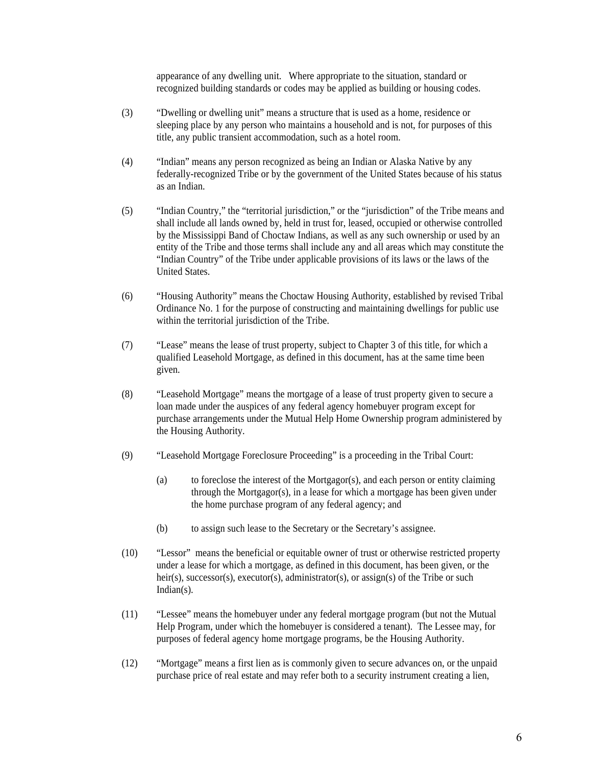appearance of any dwelling unit. Where appropriate to the situation, standard or recognized building standards or codes may be applied as building or housing codes.

- (3) "Dwelling or dwelling unit" means a structure that is used as a home, residence or sleeping place by any person who maintains a household and is not, for purposes of this title, any public transient accommodation, such as a hotel room.
- (4) "Indian" means any person recognized as being an Indian or Alaska Native by any federally-recognized Tribe or by the government of the United States because of his status as an Indian.
- (5) "Indian Country," the "territorial jurisdiction," or the "jurisdiction" of the Tribe means and shall include all lands owned by, held in trust for, leased, occupied or otherwise controlled by the Mississippi Band of Choctaw Indians, as well as any such ownership or used by an entity of the Tribe and those terms shall include any and all areas which may constitute the "Indian Country" of the Tribe under applicable provisions of its laws or the laws of the United States.
- (6) "Housing Authority" means the Choctaw Housing Authority, established by revised Tribal Ordinance No. 1 for the purpose of constructing and maintaining dwellings for public use within the territorial jurisdiction of the Tribe.
- (7) "Lease" means the lease of trust property, subject to Chapter 3 of this title, for which a qualified Leasehold Mortgage, as defined in this document, has at the same time been given.
- (8) "Leasehold Mortgage" means the mortgage of a lease of trust property given to secure a loan made under the auspices of any federal agency homebuyer program except for purchase arrangements under the Mutual Help Home Ownership program administered by the Housing Authority.
- (9) "Leasehold Mortgage Foreclosure Proceeding" is a proceeding in the Tribal Court:
	- (a) to foreclose the interest of the Mortgagor(s), and each person or entity claiming through the Mortgagor(s), in a lease for which a mortgage has been given under the home purchase program of any federal agency; and
	- (b) to assign such lease to the Secretary or the Secretary's assignee.
- (10) "Lessor" means the beneficial or equitable owner of trust or otherwise restricted property under a lease for which a mortgage, as defined in this document, has been given, or the heir(s), successor(s), executor(s), administrator(s), or assign(s) of the Tribe or such Indian(s).
- (11) "Lessee" means the homebuyer under any federal mortgage program (but not the Mutual Help Program, under which the homebuyer is considered a tenant). The Lessee may, for purposes of federal agency home mortgage programs, be the Housing Authority.
- (12) "Mortgage" means a first lien as is commonly given to secure advances on, or the unpaid purchase price of real estate and may refer both to a security instrument creating a lien,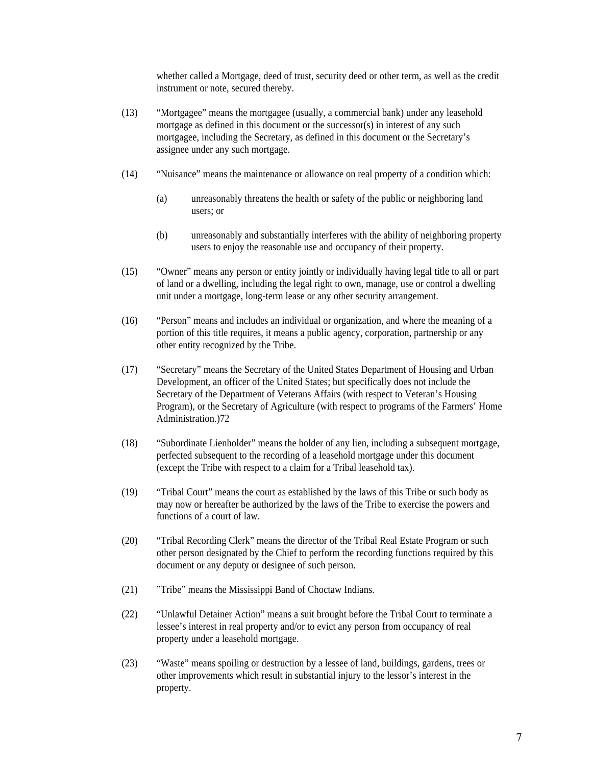whether called a Mortgage, deed of trust, security deed or other term, as well as the credit instrument or note, secured thereby.

- (13) "Mortgagee" means the mortgagee (usually, a commercial bank) under any leasehold mortgage as defined in this document or the successor(s) in interest of any such mortgagee, including the Secretary, as defined in this document or the Secretary's assignee under any such mortgage.
- (14) "Nuisance" means the maintenance or allowance on real property of a condition which:
	- (a) unreasonably threatens the health or safety of the public or neighboring land users; or
	- (b) unreasonably and substantially interferes with the ability of neighboring property users to enjoy the reasonable use and occupancy of their property.
- (15) "Owner" means any person or entity jointly or individually having legal title to all or part of land or a dwelling, including the legal right to own, manage, use or control a dwelling unit under a mortgage, long-term lease or any other security arrangement.
- (16) "Person" means and includes an individual or organization, and where the meaning of a portion of this title requires, it means a public agency, corporation, partnership or any other entity recognized by the Tribe.
- (17) "Secretary" means the Secretary of the United States Department of Housing and Urban Development, an officer of the United States; but specifically does not include the Secretary of the Department of Veterans Affairs (with respect to Veteran's Housing Program), or the Secretary of Agriculture (with respect to programs of the Farmers' Home Administration.)72
- (18) "Subordinate Lienholder" means the holder of any lien, including a subsequent mortgage, perfected subsequent to the recording of a leasehold mortgage under this document (except the Tribe with respect to a claim for a Tribal leasehold tax).
- (19) "Tribal Court" means the court as established by the laws of this Tribe or such body as may now or hereafter be authorized by the laws of the Tribe to exercise the powers and functions of a court of law.
- (20) "Tribal Recording Clerk" means the director of the Tribal Real Estate Program or such other person designated by the Chief to perform the recording functions required by this document or any deputy or designee of such person.
- (21) "Tribe" means the Mississippi Band of Choctaw Indians.
- (22) "Unlawful Detainer Action" means a suit brought before the Tribal Court to terminate a lessee's interest in real property and/or to evict any person from occupancy of real property under a leasehold mortgage.
- (23) "Waste" means spoiling or destruction by a lessee of land, buildings, gardens, trees or other improvements which result in substantial injury to the lessor's interest in the property.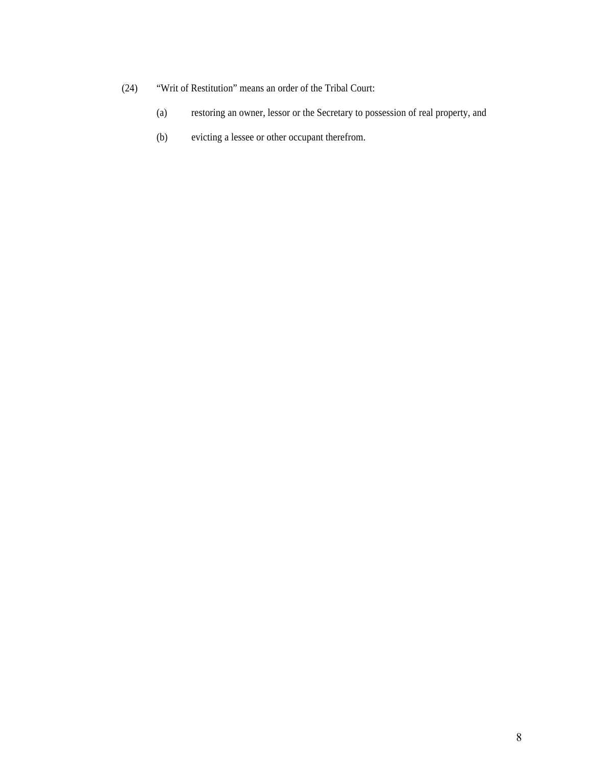- (24) "Writ of Restitution" means an order of the Tribal Court:
	- (a) restoring an owner, lessor or the Secretary to possession of real property, and
	- (b) evicting a lessee or other occupant therefrom.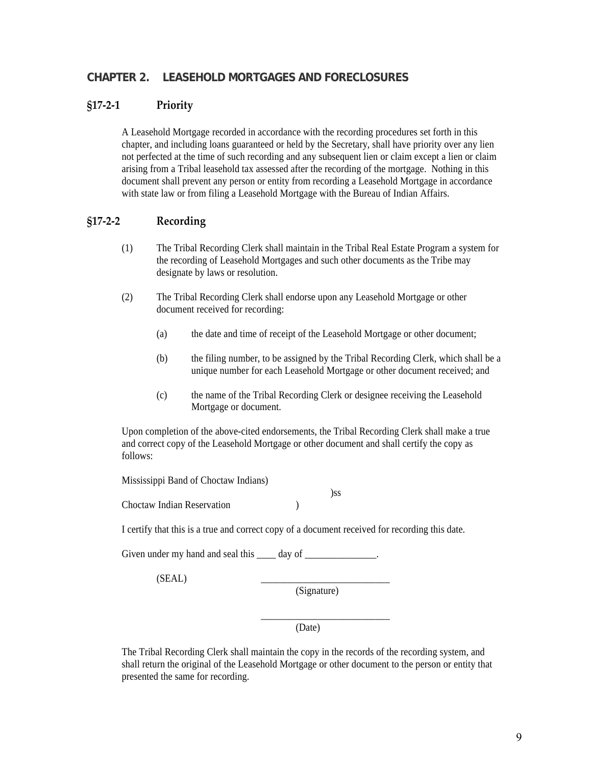# **CHAPTER 2. LEASEHOLD MORTGAGES AND FORECLOSURES**

## **§17‐2‐1 Priority**

A Leasehold Mortgage recorded in accordance with the recording procedures set forth in this chapter, and including loans guaranteed or held by the Secretary, shall have priority over any lien not perfected at the time of such recording and any subsequent lien or claim except a lien or claim arising from a Tribal leasehold tax assessed after the recording of the mortgage. Nothing in this document shall prevent any person or entity from recording a Leasehold Mortgage in accordance with state law or from filing a Leasehold Mortgage with the Bureau of Indian Affairs.

# **§17‐2‐2 Recording**

- (1) The Tribal Recording Clerk shall maintain in the Tribal Real Estate Program a system for the recording of Leasehold Mortgages and such other documents as the Tribe may designate by laws or resolution.
- (2) The Tribal Recording Clerk shall endorse upon any Leasehold Mortgage or other document received for recording:
	- (a) the date and time of receipt of the Leasehold Mortgage or other document;
	- (b) the filing number, to be assigned by the Tribal Recording Clerk, which shall be a unique number for each Leasehold Mortgage or other document received; and
	- (c) the name of the Tribal Recording Clerk or designee receiving the Leasehold Mortgage or document.

Upon completion of the above-cited endorsements, the Tribal Recording Clerk shall make a true and correct copy of the Leasehold Mortgage or other document and shall certify the copy as follows:

Mississippi Band of Choctaw Indians)

)ss

Choctaw Indian Reservation )

I certify that this is a true and correct copy of a document received for recording this date.

Given under my hand and seal this day of  $\qquad \qquad$ .

 $(SEAL)$ 

(Signature)

\_\_\_\_\_\_\_\_\_\_\_\_\_\_\_\_\_\_\_\_\_\_\_\_\_\_\_

(Date)

The Tribal Recording Clerk shall maintain the copy in the records of the recording system, and shall return the original of the Leasehold Mortgage or other document to the person or entity that presented the same for recording.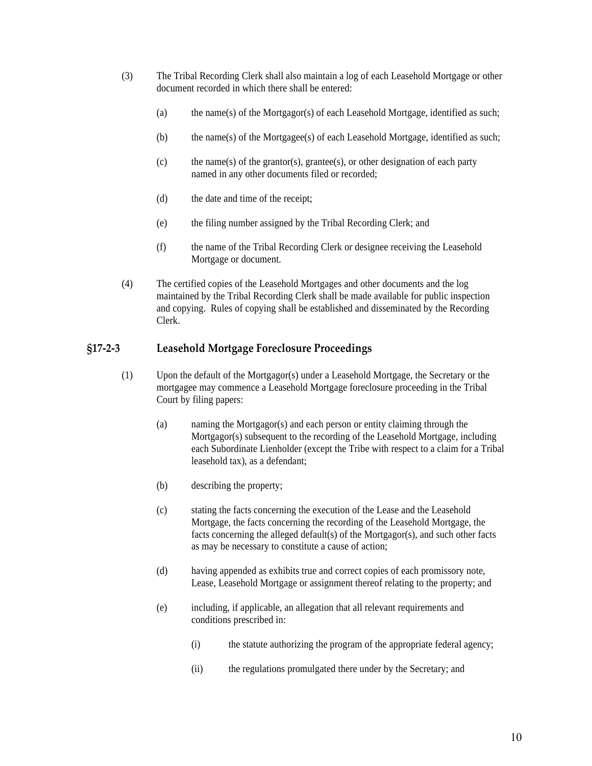- (3) The Tribal Recording Clerk shall also maintain a log of each Leasehold Mortgage or other document recorded in which there shall be entered:
	- (a) the name(s) of the Mortgagor(s) of each Leasehold Mortgage, identified as such;
	- (b) the name(s) of the Mortgagee(s) of each Leasehold Mortgage, identified as such;
	- (c) the name(s) of the grantor(s), grantee(s), or other designation of each party named in any other documents filed or recorded;
	- (d) the date and time of the receipt;
	- (e) the filing number assigned by the Tribal Recording Clerk; and
	- (f) the name of the Tribal Recording Clerk or designee receiving the Leasehold Mortgage or document.
- (4) The certified copies of the Leasehold Mortgages and other documents and the log maintained by the Tribal Recording Clerk shall be made available for public inspection and copying. Rules of copying shall be established and disseminated by the Recording Clerk.

#### **§17‐2‐3 Leasehold Mortgage Foreclosure Proceedings**

- (1) Upon the default of the Mortgagor(s) under a Leasehold Mortgage, the Secretary or the mortgagee may commence a Leasehold Mortgage foreclosure proceeding in the Tribal Court by filing papers:
	- (a) naming the Mortgagor(s) and each person or entity claiming through the Mortgagor(s) subsequent to the recording of the Leasehold Mortgage, including each Subordinate Lienholder (except the Tribe with respect to a claim for a Tribal leasehold tax), as a defendant;
	- (b) describing the property;
	- (c) stating the facts concerning the execution of the Lease and the Leasehold Mortgage, the facts concerning the recording of the Leasehold Mortgage, the facts concerning the alleged default(s) of the Mortgagor(s), and such other facts as may be necessary to constitute a cause of action;
	- (d) having appended as exhibits true and correct copies of each promissory note, Lease, Leasehold Mortgage or assignment thereof relating to the property; and
	- (e) including, if applicable, an allegation that all relevant requirements and conditions prescribed in:
		- (i) the statute authorizing the program of the appropriate federal agency;
		- (ii) the regulations promulgated there under by the Secretary; and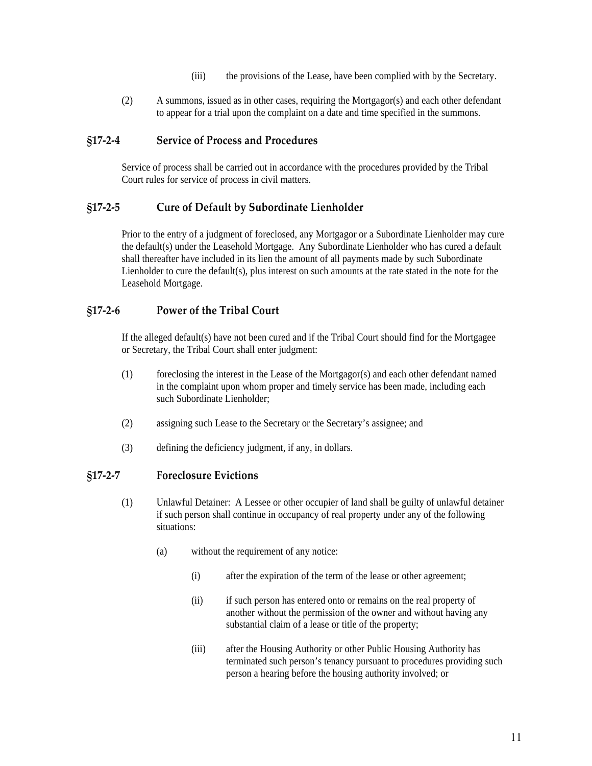- (iii) the provisions of the Lease, have been complied with by the Secretary.
- (2) A summons, issued as in other cases, requiring the Mortgagor(s) and each other defendant to appear for a trial upon the complaint on a date and time specified in the summons.

## **§17‐2‐4 Service of Process and Procedures**

Service of process shall be carried out in accordance with the procedures provided by the Tribal Court rules for service of process in civil matters.

# **§17‐2‐5 Cure of Default by Subordinate Lienholder**

Prior to the entry of a judgment of foreclosed, any Mortgagor or a Subordinate Lienholder may cure the default(s) under the Leasehold Mortgage. Any Subordinate Lienholder who has cured a default shall thereafter have included in its lien the amount of all payments made by such Subordinate Lienholder to cure the default(s), plus interest on such amounts at the rate stated in the note for the Leasehold Mortgage.

# **§17‐2‐6 Power of the Tribal Court**

If the alleged default(s) have not been cured and if the Tribal Court should find for the Mortgagee or Secretary, the Tribal Court shall enter judgment:

- (1) foreclosing the interest in the Lease of the Mortgagor(s) and each other defendant named in the complaint upon whom proper and timely service has been made, including each such Subordinate Lienholder;
- (2) assigning such Lease to the Secretary or the Secretary's assignee; and
- (3) defining the deficiency judgment, if any, in dollars.

#### **§17‐2‐7 Foreclosure Evictions**

- (1) Unlawful Detainer: A Lessee or other occupier of land shall be guilty of unlawful detainer if such person shall continue in occupancy of real property under any of the following situations:
	- (a) without the requirement of any notice:
		- (i) after the expiration of the term of the lease or other agreement;
		- (ii) if such person has entered onto or remains on the real property of another without the permission of the owner and without having any substantial claim of a lease or title of the property;
		- (iii) after the Housing Authority or other Public Housing Authority has terminated such person's tenancy pursuant to procedures providing such person a hearing before the housing authority involved; or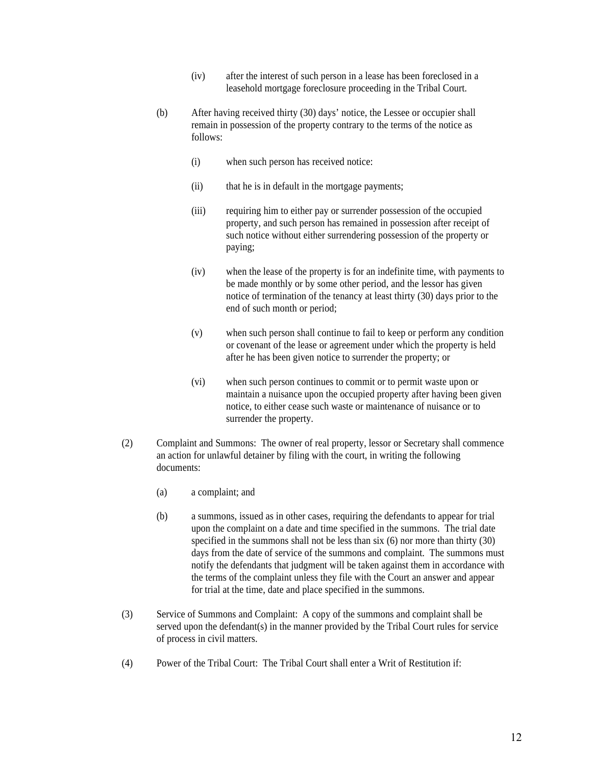- (iv) after the interest of such person in a lease has been foreclosed in a leasehold mortgage foreclosure proceeding in the Tribal Court.
- (b) After having received thirty (30) days' notice, the Lessee or occupier shall remain in possession of the property contrary to the terms of the notice as follows:
	- (i) when such person has received notice:
	- (ii) that he is in default in the mortgage payments;
	- (iii) requiring him to either pay or surrender possession of the occupied property, and such person has remained in possession after receipt of such notice without either surrendering possession of the property or paying;
	- (iv) when the lease of the property is for an indefinite time, with payments to be made monthly or by some other period, and the lessor has given notice of termination of the tenancy at least thirty (30) days prior to the end of such month or period;
	- (v) when such person shall continue to fail to keep or perform any condition or covenant of the lease or agreement under which the property is held after he has been given notice to surrender the property; or
	- (vi) when such person continues to commit or to permit waste upon or maintain a nuisance upon the occupied property after having been given notice, to either cease such waste or maintenance of nuisance or to surrender the property.
- (2) Complaint and Summons: The owner of real property, lessor or Secretary shall commence an action for unlawful detainer by filing with the court, in writing the following documents:
	- (a) a complaint; and
	- (b) a summons, issued as in other cases, requiring the defendants to appear for trial upon the complaint on a date and time specified in the summons. The trial date specified in the summons shall not be less than six (6) nor more than thirty (30) days from the date of service of the summons and complaint. The summons must notify the defendants that judgment will be taken against them in accordance with the terms of the complaint unless they file with the Court an answer and appear for trial at the time, date and place specified in the summons.
- (3) Service of Summons and Complaint: A copy of the summons and complaint shall be served upon the defendant(s) in the manner provided by the Tribal Court rules for service of process in civil matters.
- (4) Power of the Tribal Court: The Tribal Court shall enter a Writ of Restitution if: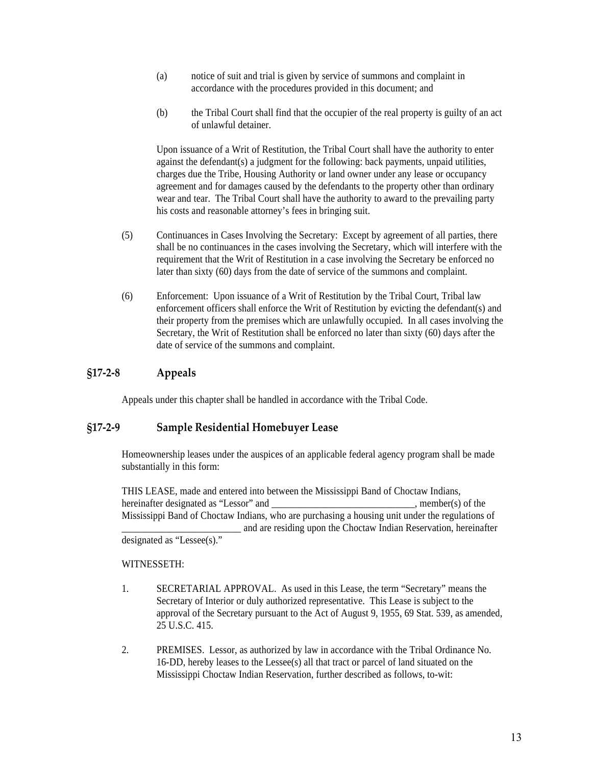- (a) notice of suit and trial is given by service of summons and complaint in accordance with the procedures provided in this document; and
- (b) the Tribal Court shall find that the occupier of the real property is guilty of an act of unlawful detainer.

Upon issuance of a Writ of Restitution, the Tribal Court shall have the authority to enter against the defendant(s) a judgment for the following: back payments, unpaid utilities, charges due the Tribe, Housing Authority or land owner under any lease or occupancy agreement and for damages caused by the defendants to the property other than ordinary wear and tear. The Tribal Court shall have the authority to award to the prevailing party his costs and reasonable attorney's fees in bringing suit.

- (5) Continuances in Cases Involving the Secretary: Except by agreement of all parties, there shall be no continuances in the cases involving the Secretary, which will interfere with the requirement that the Writ of Restitution in a case involving the Secretary be enforced no later than sixty (60) days from the date of service of the summons and complaint.
- (6) Enforcement: Upon issuance of a Writ of Restitution by the Tribal Court, Tribal law enforcement officers shall enforce the Writ of Restitution by evicting the defendant(s) and their property from the premises which are unlawfully occupied. In all cases involving the Secretary, the Writ of Restitution shall be enforced no later than sixty (60) days after the date of service of the summons and complaint.

# **§17‐2‐8 Appeals**

Appeals under this chapter shall be handled in accordance with the Tribal Code.

# **§17‐2‐9 Sample Residential Homebuyer Lease**

Homeownership leases under the auspices of an applicable federal agency program shall be made substantially in this form:

THIS LEASE, made and entered into between the Mississippi Band of Choctaw Indians, hereinafter designated as "Lessor" and  $\blacksquare$  . member(s) of the Mississippi Band of Choctaw Indians, who are purchasing a housing unit under the regulations of and are residing upon the Choctaw Indian Reservation, hereinafter designated as "Lessee(s)."

WITNESSETH:

- 1. SECRETARIAL APPROVAL. As used in this Lease, the term "Secretary" means the Secretary of Interior or duly authorized representative. This Lease is subject to the approval of the Secretary pursuant to the Act of August 9, 1955, 69 Stat. 539, as amended, 25 U.S.C. 415.
- 2. PREMISES. Lessor, as authorized by law in accordance with the Tribal Ordinance No. 16-DD, hereby leases to the Lessee(s) all that tract or parcel of land situated on the Mississippi Choctaw Indian Reservation, further described as follows, to-wit: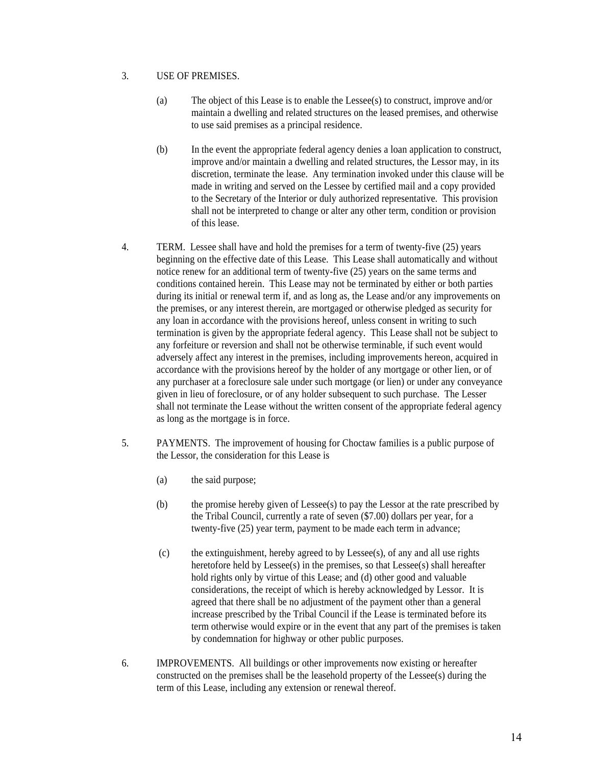#### 3. USE OF PREMISES.

- (a) The object of this Lease is to enable the Lessee(s) to construct, improve and/or maintain a dwelling and related structures on the leased premises, and otherwise to use said premises as a principal residence.
- (b) In the event the appropriate federal agency denies a loan application to construct, improve and/or maintain a dwelling and related structures, the Lessor may, in its discretion, terminate the lease. Any termination invoked under this clause will be made in writing and served on the Lessee by certified mail and a copy provided to the Secretary of the Interior or duly authorized representative. This provision shall not be interpreted to change or alter any other term, condition or provision of this lease.
- 4. TERM. Lessee shall have and hold the premises for a term of twenty-five (25) years beginning on the effective date of this Lease. This Lease shall automatically and without notice renew for an additional term of twenty-five (25) years on the same terms and conditions contained herein. This Lease may not be terminated by either or both parties during its initial or renewal term if, and as long as, the Lease and/or any improvements on the premises, or any interest therein, are mortgaged or otherwise pledged as security for any loan in accordance with the provisions hereof, unless consent in writing to such termination is given by the appropriate federal agency. This Lease shall not be subject to any forfeiture or reversion and shall not be otherwise terminable, if such event would adversely affect any interest in the premises, including improvements hereon, acquired in accordance with the provisions hereof by the holder of any mortgage or other lien, or of any purchaser at a foreclosure sale under such mortgage (or lien) or under any conveyance given in lieu of foreclosure, or of any holder subsequent to such purchase. The Lesser shall not terminate the Lease without the written consent of the appropriate federal agency as long as the mortgage is in force.
- 5. PAYMENTS. The improvement of housing for Choctaw families is a public purpose of the Lessor, the consideration for this Lease is
	- (a) the said purpose;
	- (b) the promise hereby given of Lessee(s) to pay the Lessor at the rate prescribed by the Tribal Council, currently a rate of seven (\$7.00) dollars per year, for a twenty-five (25) year term, payment to be made each term in advance;
	- (c) the extinguishment, hereby agreed to by Lessee(s), of any and all use rights heretofore held by Lessee(s) in the premises, so that Lessee(s) shall hereafter hold rights only by virtue of this Lease; and (d) other good and valuable considerations, the receipt of which is hereby acknowledged by Lessor. It is agreed that there shall be no adjustment of the payment other than a general increase prescribed by the Tribal Council if the Lease is terminated before its term otherwise would expire or in the event that any part of the premises is taken by condemnation for highway or other public purposes.
- 6. IMPROVEMENTS. All buildings or other improvements now existing or hereafter constructed on the premises shall be the leasehold property of the Lessee(s) during the term of this Lease, including any extension or renewal thereof.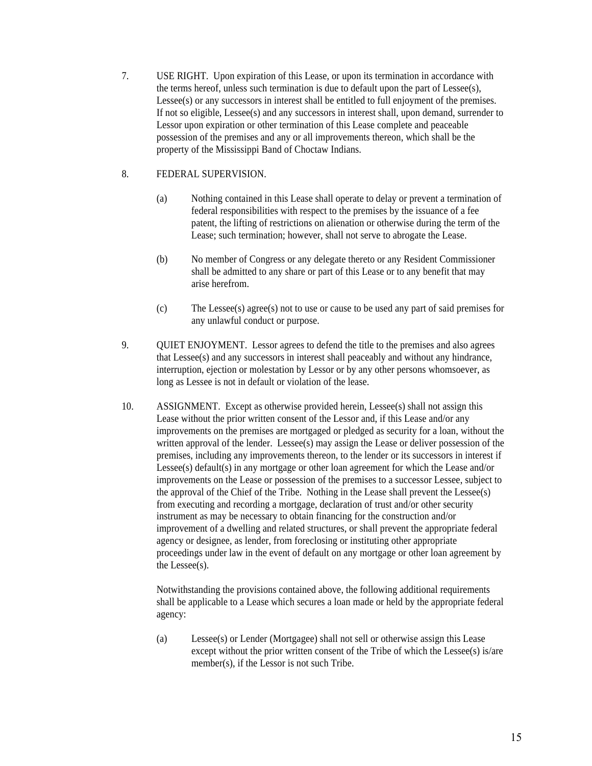7. USE RIGHT. Upon expiration of this Lease, or upon its termination in accordance with the terms hereof, unless such termination is due to default upon the part of Lessee(s), Lessee(s) or any successors in interest shall be entitled to full enjoyment of the premises. If not so eligible, Lessee(s) and any successors in interest shall, upon demand, surrender to Lessor upon expiration or other termination of this Lease complete and peaceable possession of the premises and any or all improvements thereon, which shall be the property of the Mississippi Band of Choctaw Indians.

## 8. FEDERAL SUPERVISION.

- (a) Nothing contained in this Lease shall operate to delay or prevent a termination of federal responsibilities with respect to the premises by the issuance of a fee patent, the lifting of restrictions on alienation or otherwise during the term of the Lease; such termination; however, shall not serve to abrogate the Lease.
- (b) No member of Congress or any delegate thereto or any Resident Commissioner shall be admitted to any share or part of this Lease or to any benefit that may arise herefrom.
- (c) The Lessee(s) agree(s) not to use or cause to be used any part of said premises for any unlawful conduct or purpose.
- 9. QUIET ENJOYMENT. Lessor agrees to defend the title to the premises and also agrees that Lessee(s) and any successors in interest shall peaceably and without any hindrance, interruption, ejection or molestation by Lessor or by any other persons whomsoever, as long as Lessee is not in default or violation of the lease.
- 10. ASSIGNMENT. Except as otherwise provided herein, Lessee(s) shall not assign this Lease without the prior written consent of the Lessor and, if this Lease and/or any improvements on the premises are mortgaged or pledged as security for a loan, without the written approval of the lender. Lessee(s) may assign the Lease or deliver possession of the premises, including any improvements thereon, to the lender or its successors in interest if Lessee(s) default(s) in any mortgage or other loan agreement for which the Lease and/or improvements on the Lease or possession of the premises to a successor Lessee, subject to the approval of the Chief of the Tribe. Nothing in the Lease shall prevent the Lessee(s) from executing and recording a mortgage, declaration of trust and/or other security instrument as may be necessary to obtain financing for the construction and/or improvement of a dwelling and related structures, or shall prevent the appropriate federal agency or designee, as lender, from foreclosing or instituting other appropriate proceedings under law in the event of default on any mortgage or other loan agreement by the Lessee(s).

Notwithstanding the provisions contained above, the following additional requirements shall be applicable to a Lease which secures a loan made or held by the appropriate federal agency:

(a) Lessee(s) or Lender (Mortgagee) shall not sell or otherwise assign this Lease except without the prior written consent of the Tribe of which the Lessee(s) is/are member(s), if the Lessor is not such Tribe.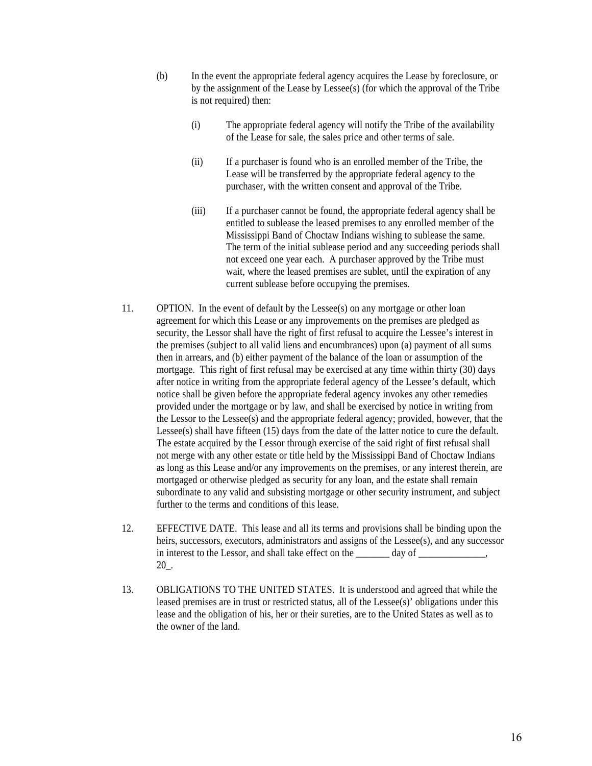- (b) In the event the appropriate federal agency acquires the Lease by foreclosure, or by the assignment of the Lease by Lessee(s) (for which the approval of the Tribe is not required) then:
	- (i) The appropriate federal agency will notify the Tribe of the availability of the Lease for sale, the sales price and other terms of sale.
	- (ii) If a purchaser is found who is an enrolled member of the Tribe, the Lease will be transferred by the appropriate federal agency to the purchaser, with the written consent and approval of the Tribe.
	- (iii) If a purchaser cannot be found, the appropriate federal agency shall be entitled to sublease the leased premises to any enrolled member of the Mississippi Band of Choctaw Indians wishing to sublease the same. The term of the initial sublease period and any succeeding periods shall not exceed one year each. A purchaser approved by the Tribe must wait, where the leased premises are sublet, until the expiration of any current sublease before occupying the premises.
- 11. OPTION. In the event of default by the Lessee(s) on any mortgage or other loan agreement for which this Lease or any improvements on the premises are pledged as security, the Lessor shall have the right of first refusal to acquire the Lessee's interest in the premises (subject to all valid liens and encumbrances) upon (a) payment of all sums then in arrears, and (b) either payment of the balance of the loan or assumption of the mortgage. This right of first refusal may be exercised at any time within thirty (30) days after notice in writing from the appropriate federal agency of the Lessee's default, which notice shall be given before the appropriate federal agency invokes any other remedies provided under the mortgage or by law, and shall be exercised by notice in writing from the Lessor to the Lessee(s) and the appropriate federal agency; provided, however, that the Lessee(s) shall have fifteen (15) days from the date of the latter notice to cure the default. The estate acquired by the Lessor through exercise of the said right of first refusal shall not merge with any other estate or title held by the Mississippi Band of Choctaw Indians as long as this Lease and/or any improvements on the premises, or any interest therein, are mortgaged or otherwise pledged as security for any loan, and the estate shall remain subordinate to any valid and subsisting mortgage or other security instrument, and subject further to the terms and conditions of this lease.
- 12. EFFECTIVE DATE. This lease and all its terms and provisions shall be binding upon the heirs, successors, executors, administrators and assigns of the Lessee(s), and any successor in interest to the Lessor, and shall take effect on the \_\_\_\_\_\_\_ day of \_\_\_\_\_\_\_\_\_, 20\_.
- 13. OBLIGATIONS TO THE UNITED STATES. It is understood and agreed that while the leased premises are in trust or restricted status, all of the Lessee(s)' obligations under this lease and the obligation of his, her or their sureties, are to the United States as well as to the owner of the land.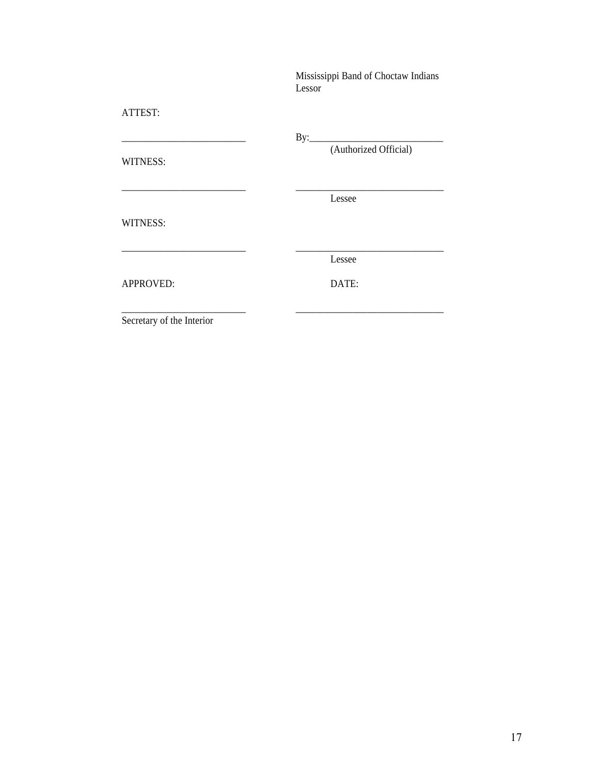Mississippi Band of Choctaw Indians Lessor

# ATTEST:

\_\_\_\_\_\_\_\_\_\_\_\_\_\_\_\_\_\_\_\_\_\_\_\_\_\_ By:\_\_\_\_\_\_\_\_\_\_\_\_\_\_\_\_\_\_\_\_\_\_\_\_\_\_\_\_

WITNESS:

(Authorized Official)

Lessee

WITNESS:

\_\_\_\_\_\_\_\_\_\_\_\_\_\_\_\_\_\_\_\_\_\_\_\_\_\_ \_\_\_\_\_\_\_\_\_\_\_\_\_\_\_\_\_\_\_\_\_\_\_\_\_\_\_\_\_\_\_ Lessee

\_\_\_\_\_\_\_\_\_\_\_\_\_\_\_\_\_\_\_\_\_\_\_\_\_\_ \_\_\_\_\_\_\_\_\_\_\_\_\_\_\_\_\_\_\_\_\_\_\_\_\_\_\_\_\_\_\_

\_\_\_\_\_\_\_\_\_\_\_\_\_\_\_\_\_\_\_\_\_\_\_\_\_\_ \_\_\_\_\_\_\_\_\_\_\_\_\_\_\_\_\_\_\_\_\_\_\_\_\_\_\_\_\_\_\_

APPROVED: DATE:

Secretary of the Interior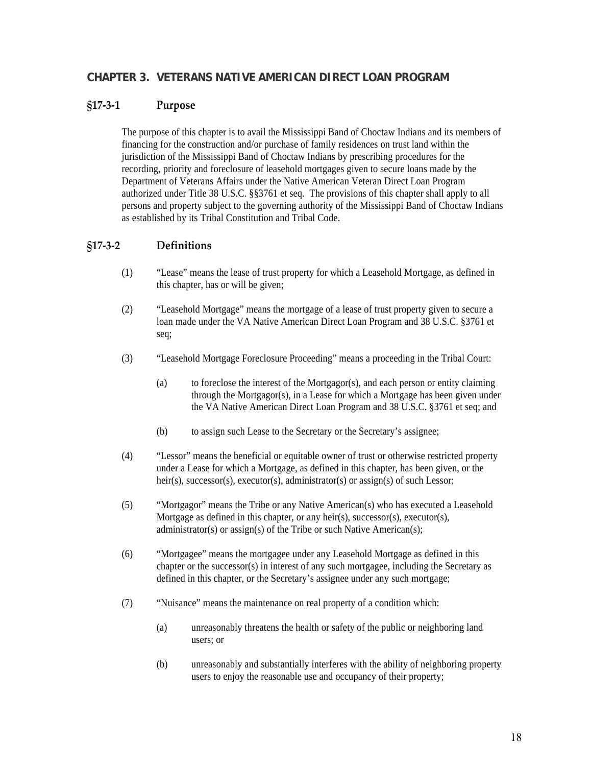# **CHAPTER 3. VETERANS NATIVE AMERICAN DIRECT LOAN PROGRAM**

#### **§17‐3‐1 Purpose**

The purpose of this chapter is to avail the Mississippi Band of Choctaw Indians and its members of financing for the construction and/or purchase of family residences on trust land within the jurisdiction of the Mississippi Band of Choctaw Indians by prescribing procedures for the recording, priority and foreclosure of leasehold mortgages given to secure loans made by the Department of Veterans Affairs under the Native American Veteran Direct Loan Program authorized under Title 38 U.S.C. §§3761 et seq. The provisions of this chapter shall apply to all persons and property subject to the governing authority of the Mississippi Band of Choctaw Indians as established by its Tribal Constitution and Tribal Code.

# **§17‐3‐2 Definitions**

- (1) "Lease" means the lease of trust property for which a Leasehold Mortgage, as defined in this chapter, has or will be given;
- (2) "Leasehold Mortgage" means the mortgage of a lease of trust property given to secure a loan made under the VA Native American Direct Loan Program and 38 U.S.C. §3761 et seq;
- (3) "Leasehold Mortgage Foreclosure Proceeding" means a proceeding in the Tribal Court:
	- (a) to foreclose the interest of the Mortgagor(s), and each person or entity claiming through the Mortgagor(s), in a Lease for which a Mortgage has been given under the VA Native American Direct Loan Program and 38 U.S.C. §3761 et seq; and
	- (b) to assign such Lease to the Secretary or the Secretary's assignee;
- (4) "Lessor" means the beneficial or equitable owner of trust or otherwise restricted property under a Lease for which a Mortgage, as defined in this chapter, has been given, or the heir(s), successor(s), executor(s), administrator(s) or assign(s) of such Lessor;
- (5) "Mortgagor" means the Tribe or any Native American(s) who has executed a Leasehold Mortgage as defined in this chapter, or any heir(s), successor(s), executor(s), administrator(s) or assign(s) of the Tribe or such Native American(s);
- (6) "Mortgagee" means the mortgagee under any Leasehold Mortgage as defined in this chapter or the successor(s) in interest of any such mortgagee, including the Secretary as defined in this chapter, or the Secretary's assignee under any such mortgage;
- (7) "Nuisance" means the maintenance on real property of a condition which:
	- (a) unreasonably threatens the health or safety of the public or neighboring land users; or
	- (b) unreasonably and substantially interferes with the ability of neighboring property users to enjoy the reasonable use and occupancy of their property;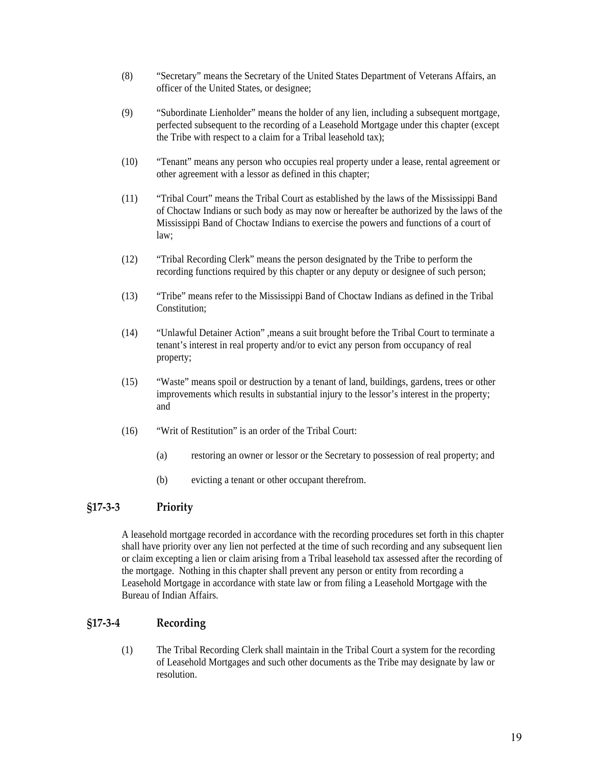- (8) "Secretary" means the Secretary of the United States Department of Veterans Affairs, an officer of the United States, or designee;
- (9) "Subordinate Lienholder" means the holder of any lien, including a subsequent mortgage, perfected subsequent to the recording of a Leasehold Mortgage under this chapter (except the Tribe with respect to a claim for a Tribal leasehold tax);
- (10) "Tenant" means any person who occupies real property under a lease, rental agreement or other agreement with a lessor as defined in this chapter;
- (11) "Tribal Court" means the Tribal Court as established by the laws of the Mississippi Band of Choctaw Indians or such body as may now or hereafter be authorized by the laws of the Mississippi Band of Choctaw Indians to exercise the powers and functions of a court of law;
- (12) "Tribal Recording Clerk" means the person designated by the Tribe to perform the recording functions required by this chapter or any deputy or designee of such person;
- (13) "Tribe" means refer to the Mississippi Band of Choctaw Indians as defined in the Tribal Constitution;
- (14) "Unlawful Detainer Action" ,means a suit brought before the Tribal Court to terminate a tenant's interest in real property and/or to evict any person from occupancy of real property;
- (15) "Waste" means spoil or destruction by a tenant of land, buildings, gardens, trees or other improvements which results in substantial injury to the lessor's interest in the property; and
- (16) "Writ of Restitution" is an order of the Tribal Court:
	- (a) restoring an owner or lessor or the Secretary to possession of real property; and
	- (b) evicting a tenant or other occupant therefrom.

# **§17‐3‐3 Priority**

A leasehold mortgage recorded in accordance with the recording procedures set forth in this chapter shall have priority over any lien not perfected at the time of such recording and any subsequent lien or claim excepting a lien or claim arising from a Tribal leasehold tax assessed after the recording of the mortgage. Nothing in this chapter shall prevent any person or entity from recording a Leasehold Mortgage in accordance with state law or from filing a Leasehold Mortgage with the Bureau of Indian Affairs.

# **§17‐3‐4 Recording**

(1) The Tribal Recording Clerk shall maintain in the Tribal Court a system for the recording of Leasehold Mortgages and such other documents as the Tribe may designate by law or resolution.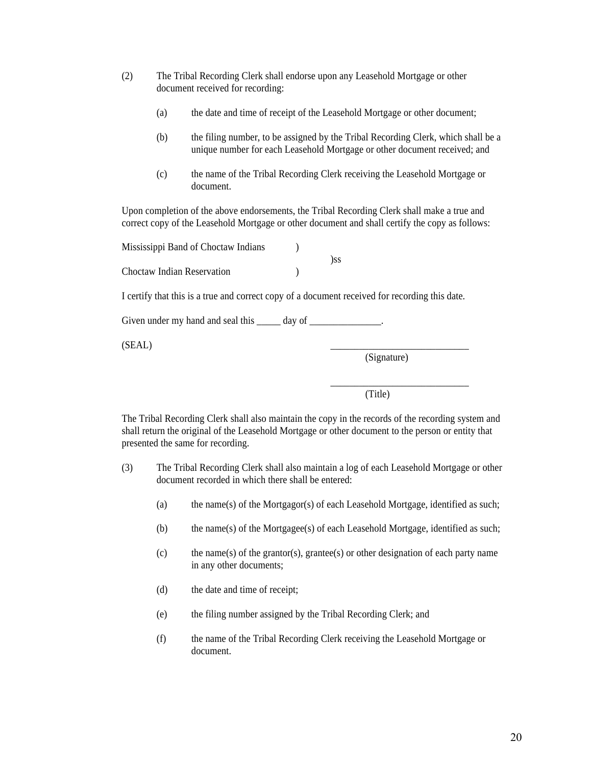- (2) The Tribal Recording Clerk shall endorse upon any Leasehold Mortgage or other document received for recording:
	- (a) the date and time of receipt of the Leasehold Mortgage or other document;
	- (b) the filing number, to be assigned by the Tribal Recording Clerk, which shall be a unique number for each Leasehold Mortgage or other document received; and
	- (c) the name of the Tribal Recording Clerk receiving the Leasehold Mortgage or document.

Upon completion of the above endorsements, the Tribal Recording Clerk shall make a true and correct copy of the Leasehold Mortgage or other document and shall certify the copy as follows:

| Mississippi Band of Choctaw Indians |     |
|-------------------------------------|-----|
|                                     | )ss |
| Choctaw Indian Reservation          |     |

I certify that this is a true and correct copy of a document received for recording this date.

Given under my hand and seal this day of  $\qquad \qquad$ .

 $(SEAL)$   $\qquad \qquad \qquad \qquad$ 

(Signature)

\_\_\_\_\_\_\_\_\_\_\_\_\_\_\_\_\_\_\_\_\_\_\_\_\_\_\_\_\_

(Title)

The Tribal Recording Clerk shall also maintain the copy in the records of the recording system and shall return the original of the Leasehold Mortgage or other document to the person or entity that presented the same for recording.

- (3) The Tribal Recording Clerk shall also maintain a log of each Leasehold Mortgage or other document recorded in which there shall be entered:
	- (a) the name(s) of the Mortgagor(s) of each Leasehold Mortgage, identified as such;
	- (b) the name(s) of the Mortgagee(s) of each Leasehold Mortgage, identified as such;
	- (c) the name(s) of the grantor(s), grantee(s) or other designation of each party name in any other documents;
	- (d) the date and time of receipt;
	- (e) the filing number assigned by the Tribal Recording Clerk; and
	- (f) the name of the Tribal Recording Clerk receiving the Leasehold Mortgage or document.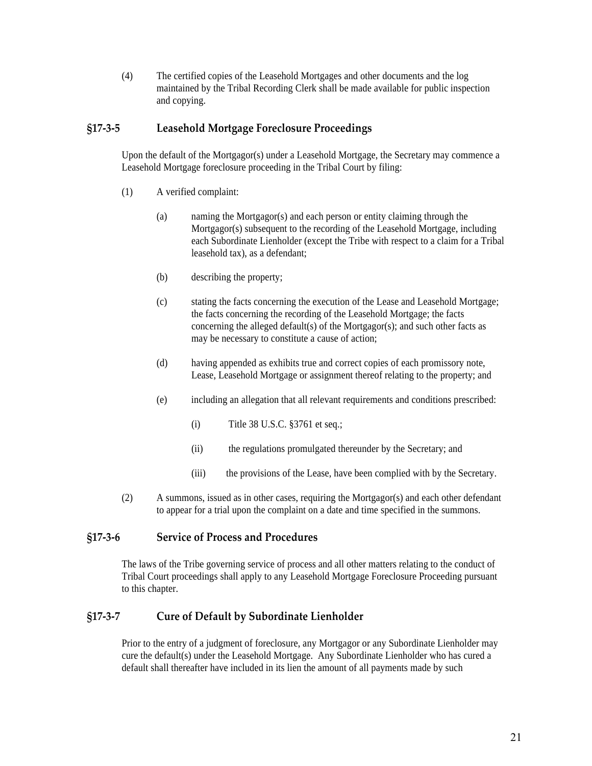(4) The certified copies of the Leasehold Mortgages and other documents and the log maintained by the Tribal Recording Clerk shall be made available for public inspection and copying.

## **§17‐3‐5 Leasehold Mortgage Foreclosure Proceedings**

Upon the default of the Mortgagor(s) under a Leasehold Mortgage, the Secretary may commence a Leasehold Mortgage foreclosure proceeding in the Tribal Court by filing:

- (1) A verified complaint:
	- (a) naming the Mortgagor(s) and each person or entity claiming through the Mortgagor(s) subsequent to the recording of the Leasehold Mortgage, including each Subordinate Lienholder (except the Tribe with respect to a claim for a Tribal leasehold tax), as a defendant;
	- (b) describing the property;
	- (c) stating the facts concerning the execution of the Lease and Leasehold Mortgage; the facts concerning the recording of the Leasehold Mortgage; the facts concerning the alleged default(s) of the Mortgagor(s); and such other facts as may be necessary to constitute a cause of action;
	- (d) having appended as exhibits true and correct copies of each promissory note, Lease, Leasehold Mortgage or assignment thereof relating to the property; and
	- (e) including an allegation that all relevant requirements and conditions prescribed:
		- (i) Title 38 U.S.C. §3761 et seq.;
		- (ii) the regulations promulgated thereunder by the Secretary; and
		- (iii) the provisions of the Lease, have been complied with by the Secretary.
- (2) A summons, issued as in other cases, requiring the Mortgagor(s) and each other defendant to appear for a trial upon the complaint on a date and time specified in the summons.

# **§17‐3‐6 Service of Process and Procedures**

The laws of the Tribe governing service of process and all other matters relating to the conduct of Tribal Court proceedings shall apply to any Leasehold Mortgage Foreclosure Proceeding pursuant to this chapter.

# **§17‐3‐7 Cure of Default by Subordinate Lienholder**

Prior to the entry of a judgment of foreclosure, any Mortgagor or any Subordinate Lienholder may cure the default(s) under the Leasehold Mortgage. Any Subordinate Lienholder who has cured a default shall thereafter have included in its lien the amount of all payments made by such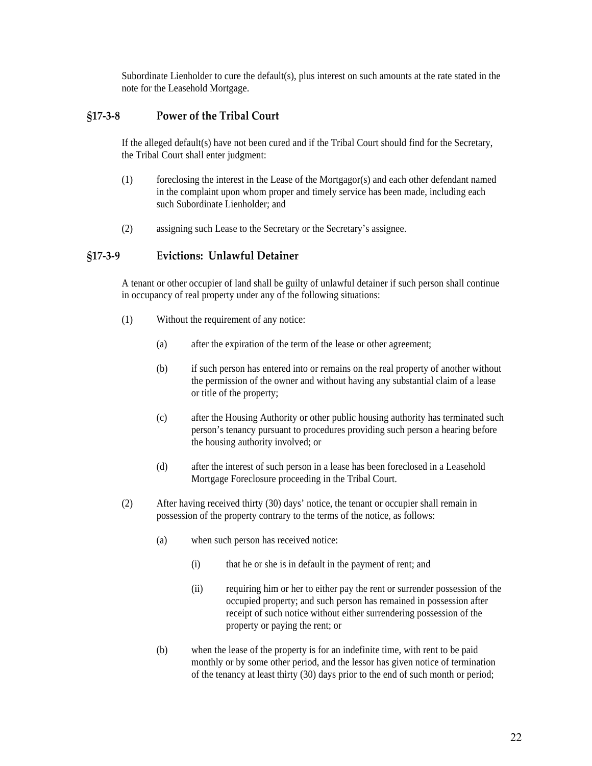Subordinate Lienholder to cure the default(s), plus interest on such amounts at the rate stated in the note for the Leasehold Mortgage.

## **§17‐3‐8 Power of the Tribal Court**

If the alleged default(s) have not been cured and if the Tribal Court should find for the Secretary, the Tribal Court shall enter judgment:

- (1) foreclosing the interest in the Lease of the Mortgagor(s) and each other defendant named in the complaint upon whom proper and timely service has been made, including each such Subordinate Lienholder; and
- (2) assigning such Lease to the Secretary or the Secretary's assignee.

#### **§17‐3‐9 Evictions: Unlawful Detainer**

A tenant or other occupier of land shall be guilty of unlawful detainer if such person shall continue in occupancy of real property under any of the following situations:

- (1) Without the requirement of any notice:
	- (a) after the expiration of the term of the lease or other agreement;
	- (b) if such person has entered into or remains on the real property of another without the permission of the owner and without having any substantial claim of a lease or title of the property;
	- (c) after the Housing Authority or other public housing authority has terminated such person's tenancy pursuant to procedures providing such person a hearing before the housing authority involved; or
	- (d) after the interest of such person in a lease has been foreclosed in a Leasehold Mortgage Foreclosure proceeding in the Tribal Court.
- (2) After having received thirty (30) days' notice, the tenant or occupier shall remain in possession of the property contrary to the terms of the notice, as follows:
	- (a) when such person has received notice:
		- (i) that he or she is in default in the payment of rent; and
		- (ii) requiring him or her to either pay the rent or surrender possession of the occupied property; and such person has remained in possession after receipt of such notice without either surrendering possession of the property or paying the rent; or
	- (b) when the lease of the property is for an indefinite time, with rent to be paid monthly or by some other period, and the lessor has given notice of termination of the tenancy at least thirty (30) days prior to the end of such month or period;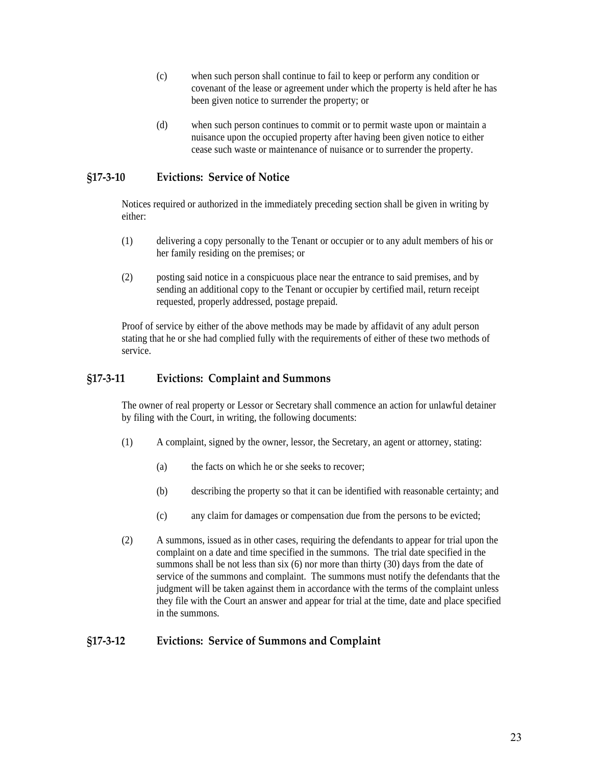- (c) when such person shall continue to fail to keep or perform any condition or covenant of the lease or agreement under which the property is held after he has been given notice to surrender the property; or
- (d) when such person continues to commit or to permit waste upon or maintain a nuisance upon the occupied property after having been given notice to either cease such waste or maintenance of nuisance or to surrender the property.

# **§17‐3‐10 Evictions: Service of Notice**

Notices required or authorized in the immediately preceding section shall be given in writing by either:

- (1) delivering a copy personally to the Tenant or occupier or to any adult members of his or her family residing on the premises; or
- (2) posting said notice in a conspicuous place near the entrance to said premises, and by sending an additional copy to the Tenant or occupier by certified mail, return receipt requested, properly addressed, postage prepaid.

Proof of service by either of the above methods may be made by affidavit of any adult person stating that he or she had complied fully with the requirements of either of these two methods of service.

#### **§17‐3‐11 Evictions: Complaint and Summons**

The owner of real property or Lessor or Secretary shall commence an action for unlawful detainer by filing with the Court, in writing, the following documents:

- (1) A complaint, signed by the owner, lessor, the Secretary, an agent or attorney, stating:
	- (a) the facts on which he or she seeks to recover;
	- (b) describing the property so that it can be identified with reasonable certainty; and
	- (c) any claim for damages or compensation due from the persons to be evicted;
- (2) A summons, issued as in other cases, requiring the defendants to appear for trial upon the complaint on a date and time specified in the summons. The trial date specified in the summons shall be not less than six (6) nor more than thirty (30) days from the date of service of the summons and complaint. The summons must notify the defendants that the judgment will be taken against them in accordance with the terms of the complaint unless they file with the Court an answer and appear for trial at the time, date and place specified in the summons.

#### **§17‐3‐12 Evictions: Service of Summons and Complaint**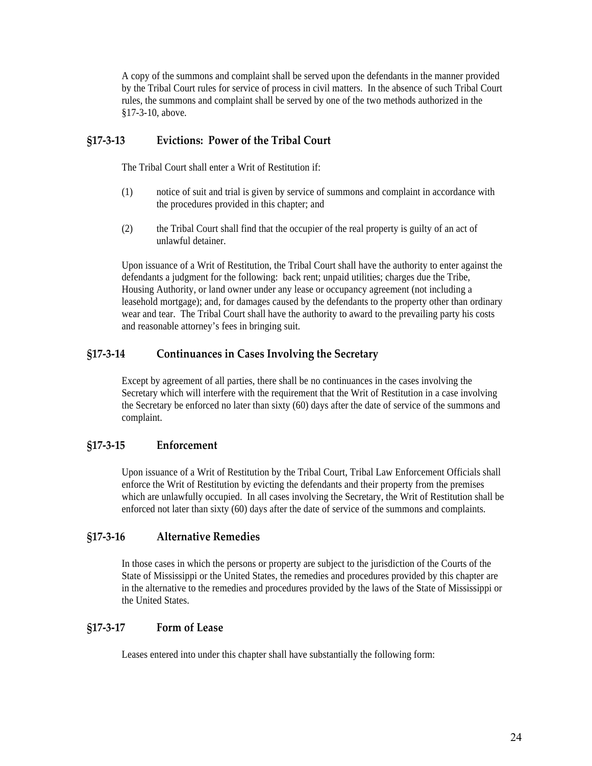A copy of the summons and complaint shall be served upon the defendants in the manner provided by the Tribal Court rules for service of process in civil matters. In the absence of such Tribal Court rules, the summons and complaint shall be served by one of the two methods authorized in the §17-3-10, above.

# **§17‐3‐13 Evictions: Power of the Tribal Court**

The Tribal Court shall enter a Writ of Restitution if:

- (1) notice of suit and trial is given by service of summons and complaint in accordance with the procedures provided in this chapter; and
- (2) the Tribal Court shall find that the occupier of the real property is guilty of an act of unlawful detainer.

Upon issuance of a Writ of Restitution, the Tribal Court shall have the authority to enter against the defendants a judgment for the following: back rent; unpaid utilities; charges due the Tribe, Housing Authority, or land owner under any lease or occupancy agreement (not including a leasehold mortgage); and, for damages caused by the defendants to the property other than ordinary wear and tear. The Tribal Court shall have the authority to award to the prevailing party his costs and reasonable attorney's fees in bringing suit.

#### **§17‐3‐14 Continuances in Cases Involving the Secretary**

Except by agreement of all parties, there shall be no continuances in the cases involving the Secretary which will interfere with the requirement that the Writ of Restitution in a case involving the Secretary be enforced no later than sixty (60) days after the date of service of the summons and complaint.

#### **§17‐3‐15 Enforcement**

Upon issuance of a Writ of Restitution by the Tribal Court, Tribal Law Enforcement Officials shall enforce the Writ of Restitution by evicting the defendants and their property from the premises which are unlawfully occupied. In all cases involving the Secretary, the Writ of Restitution shall be enforced not later than sixty (60) days after the date of service of the summons and complaints.

#### **§17‐3‐16 Alternative Remedies**

In those cases in which the persons or property are subject to the jurisdiction of the Courts of the State of Mississippi or the United States, the remedies and procedures provided by this chapter are in the alternative to the remedies and procedures provided by the laws of the State of Mississippi or the United States.

# **§17‐3‐17 Form of Lease**

Leases entered into under this chapter shall have substantially the following form: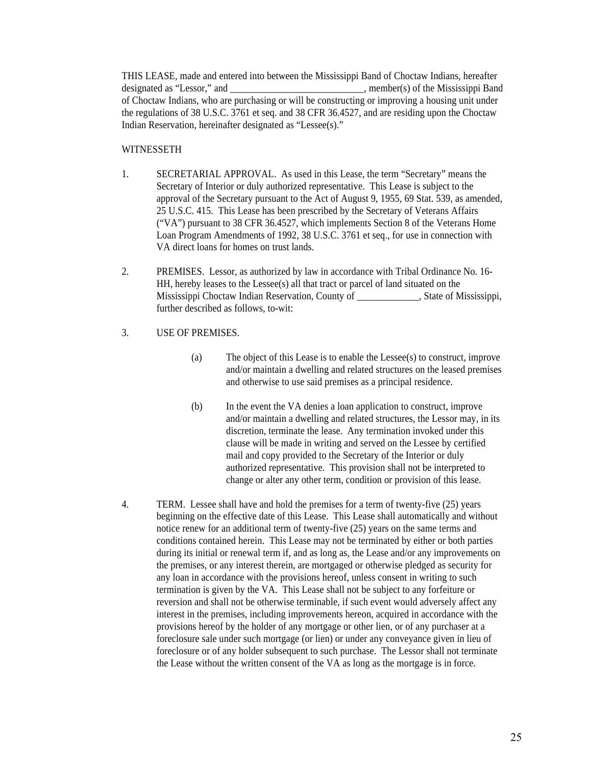THIS LEASE, made and entered into between the Mississippi Band of Choctaw Indians, hereafter designated as "Lessor," and \_\_\_\_\_\_\_\_\_\_\_\_\_\_\_\_\_\_\_\_\_\_\_\_\_\_\_\_, member(s) of the Mississippi Band of Choctaw Indians, who are purchasing or will be constructing or improving a housing unit under the regulations of 38 U.S.C. 3761 et seq. and 38 CFR 36.4527, and are residing upon the Choctaw Indian Reservation, hereinafter designated as "Lessee(s)."

#### WITNESSETH

- 1. SECRETARIAL APPROVAL. As used in this Lease, the term "Secretary" means the Secretary of Interior or duly authorized representative. This Lease is subject to the approval of the Secretary pursuant to the Act of August 9, 1955, 69 Stat. 539, as amended, 25 U.S.C. 415. This Lease has been prescribed by the Secretary of Veterans Affairs ("VA") pursuant to 38 CFR 36.4527, which implements Section 8 of the Veterans Home Loan Program Amendments of 1992, 38 U.S.C. 3761 et seq., for use in connection with VA direct loans for homes on trust lands.
- 2. PREMISES. Lessor, as authorized by law in accordance with Tribal Ordinance No. 16- HH, hereby leases to the Lessee(s) all that tract or parcel of land situated on the Mississippi Choctaw Indian Reservation, County of , State of Mississippi, further described as follows, to-wit:

#### 3. USE OF PREMISES.

- (a) The object of this Lease is to enable the Lessee(s) to construct, improve and/or maintain a dwelling and related structures on the leased premises and otherwise to use said premises as a principal residence.
- (b) In the event the VA denies a loan application to construct, improve and/or maintain a dwelling and related structures, the Lessor may, in its discretion, terminate the lease. Any termination invoked under this clause will be made in writing and served on the Lessee by certified mail and copy provided to the Secretary of the Interior or duly authorized representative. This provision shall not be interpreted to change or alter any other term, condition or provision of this lease.
- 4. TERM. Lessee shall have and hold the premises for a term of twenty-five (25) years beginning on the effective date of this Lease. This Lease shall automatically and without notice renew for an additional term of twenty-five (25) years on the same terms and conditions contained herein. This Lease may not be terminated by either or both parties during its initial or renewal term if, and as long as, the Lease and/or any improvements on the premises, or any interest therein, are mortgaged or otherwise pledged as security for any loan in accordance with the provisions hereof, unless consent in writing to such termination is given by the VA. This Lease shall not be subject to any forfeiture or reversion and shall not be otherwise terminable, if such event would adversely affect any interest in the premises, including improvements hereon, acquired in accordance with the provisions hereof by the holder of any mortgage or other lien, or of any purchaser at a foreclosure sale under such mortgage (or lien) or under any conveyance given in lieu of foreclosure or of any holder subsequent to such purchase. The Lessor shall not terminate the Lease without the written consent of the VA as long as the mortgage is in force.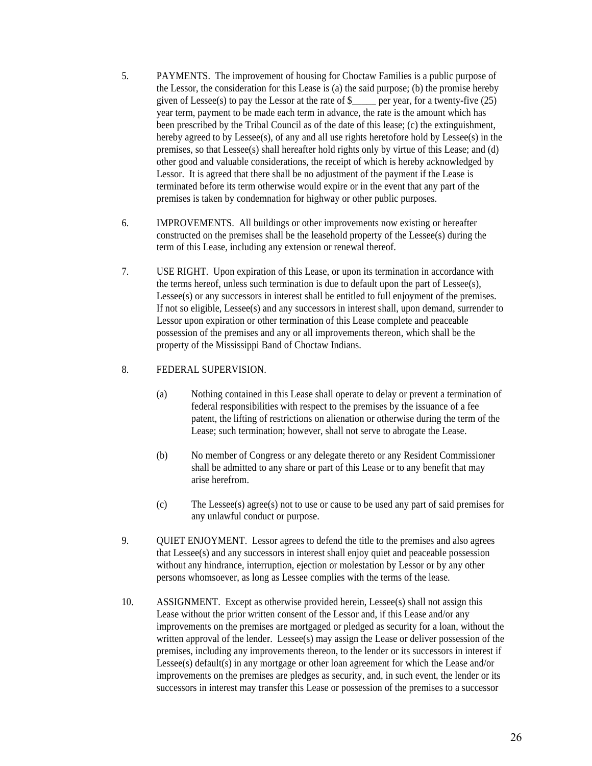- 5. PAYMENTS. The improvement of housing for Choctaw Families is a public purpose of the Lessor, the consideration for this Lease is (a) the said purpose; (b) the promise hereby given of Lessee(s) to pay the Lessor at the rate of  $\frac{1}{2}$  per year, for a twenty-five (25) year term, payment to be made each term in advance, the rate is the amount which has been prescribed by the Tribal Council as of the date of this lease; (c) the extinguishment, hereby agreed to by Lessee(s), of any and all use rights heretofore hold by Lessee(s) in the premises, so that Lessee(s) shall hereafter hold rights only by virtue of this Lease; and (d) other good and valuable considerations, the receipt of which is hereby acknowledged by Lessor. It is agreed that there shall be no adjustment of the payment if the Lease is terminated before its term otherwise would expire or in the event that any part of the premises is taken by condemnation for highway or other public purposes.
- 6. IMPROVEMENTS. All buildings or other improvements now existing or hereafter constructed on the premises shall be the leasehold property of the Lessee(s) during the term of this Lease, including any extension or renewal thereof.
- 7. USE RIGHT. Upon expiration of this Lease, or upon its termination in accordance with the terms hereof, unless such termination is due to default upon the part of Lessee(s), Lessee(s) or any successors in interest shall be entitled to full enjoyment of the premises. If not so eligible, Lessee(s) and any successors in interest shall, upon demand, surrender to Lessor upon expiration or other termination of this Lease complete and peaceable possession of the premises and any or all improvements thereon, which shall be the property of the Mississippi Band of Choctaw Indians.

#### 8. FEDERAL SUPERVISION.

- (a) Nothing contained in this Lease shall operate to delay or prevent a termination of federal responsibilities with respect to the premises by the issuance of a fee patent, the lifting of restrictions on alienation or otherwise during the term of the Lease; such termination; however, shall not serve to abrogate the Lease.
- (b) No member of Congress or any delegate thereto or any Resident Commissioner shall be admitted to any share or part of this Lease or to any benefit that may arise herefrom.
- (c) The Lessee(s) agree(s) not to use or cause to be used any part of said premises for any unlawful conduct or purpose.
- 9. QUIET ENJOYMENT. Lessor agrees to defend the title to the premises and also agrees that Lessee(s) and any successors in interest shall enjoy quiet and peaceable possession without any hindrance, interruption, ejection or molestation by Lessor or by any other persons whomsoever, as long as Lessee complies with the terms of the lease.
- 10. ASSIGNMENT. Except as otherwise provided herein, Lessee(s) shall not assign this Lease without the prior written consent of the Lessor and, if this Lease and/or any improvements on the premises are mortgaged or pledged as security for a loan, without the written approval of the lender. Lessee(s) may assign the Lease or deliver possession of the premises, including any improvements thereon, to the lender or its successors in interest if Lessee(s) default(s) in any mortgage or other loan agreement for which the Lease and/or improvements on the premises are pledges as security, and, in such event, the lender or its successors in interest may transfer this Lease or possession of the premises to a successor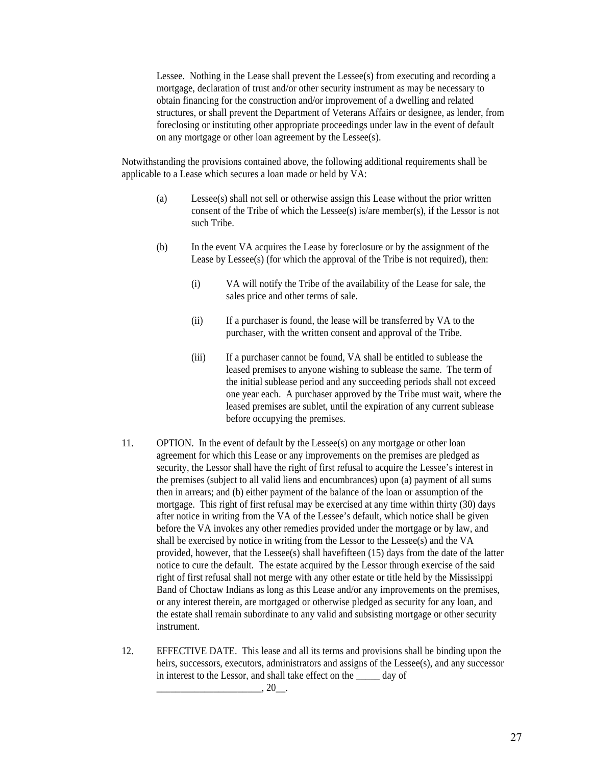Lessee. Nothing in the Lease shall prevent the Lessee(s) from executing and recording a mortgage, declaration of trust and/or other security instrument as may be necessary to obtain financing for the construction and/or improvement of a dwelling and related structures, or shall prevent the Department of Veterans Affairs or designee, as lender, from foreclosing or instituting other appropriate proceedings under law in the event of default on any mortgage or other loan agreement by the Lessee(s).

Notwithstanding the provisions contained above, the following additional requirements shall be applicable to a Lease which secures a loan made or held by VA:

- (a) Lessee(s) shall not sell or otherwise assign this Lease without the prior written consent of the Tribe of which the Lessee(s) is/are member(s), if the Lessor is not such Tribe.
- (b) In the event VA acquires the Lease by foreclosure or by the assignment of the Lease by Lessee(s) (for which the approval of the Tribe is not required), then:
	- (i) VA will notify the Tribe of the availability of the Lease for sale, the sales price and other terms of sale.
	- (ii) If a purchaser is found, the lease will be transferred by VA to the purchaser, with the written consent and approval of the Tribe.
	- (iii) If a purchaser cannot be found, VA shall be entitled to sublease the leased premises to anyone wishing to sublease the same. The term of the initial sublease period and any succeeding periods shall not exceed one year each. A purchaser approved by the Tribe must wait, where the leased premises are sublet, until the expiration of any current sublease before occupying the premises.
- 11. OPTION. In the event of default by the Lessee(s) on any mortgage or other loan agreement for which this Lease or any improvements on the premises are pledged as security, the Lessor shall have the right of first refusal to acquire the Lessee's interest in the premises (subject to all valid liens and encumbrances) upon (a) payment of all sums then in arrears; and (b) either payment of the balance of the loan or assumption of the mortgage. This right of first refusal may be exercised at any time within thirty (30) days after notice in writing from the VA of the Lessee's default, which notice shall be given before the VA invokes any other remedies provided under the mortgage or by law, and shall be exercised by notice in writing from the Lessor to the Lessee(s) and the VA provided, however, that the Lessee(s) shall havefifteen (15) days from the date of the latter notice to cure the default. The estate acquired by the Lessor through exercise of the said right of first refusal shall not merge with any other estate or title held by the Mississippi Band of Choctaw Indians as long as this Lease and/or any improvements on the premises, or any interest therein, are mortgaged or otherwise pledged as security for any loan, and the estate shall remain subordinate to any valid and subsisting mortgage or other security instrument.
- 12. EFFECTIVE DATE. This lease and all its terms and provisions shall be binding upon the heirs, successors, executors, administrators and assigns of the Lessee(s), and any successor in interest to the Lessor, and shall take effect on the \_\_\_\_\_ day of

 $\ldots$  20  $\ldots$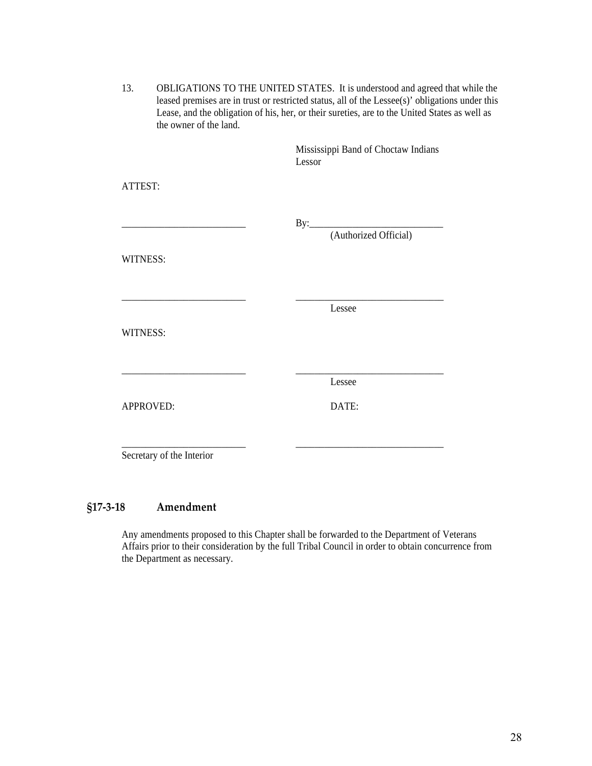| 13. | OBLIGATIONS TO THE UNITED STATES. It is understood and agreed that while the                    |
|-----|-------------------------------------------------------------------------------------------------|
|     | leased premises are in trust or restricted status, all of the Lessee(s)' obligations under this |
|     | Lease, and the obligation of his, her, or their sureties, are to the United States as well as   |
|     | the owner of the land.                                                                          |

|                           | Mississippi Band of Choctaw Indians<br>Lessor |  |
|---------------------------|-----------------------------------------------|--|
| ATTEST:                   |                                               |  |
|                           | (Authorized Official)                         |  |
| WITNESS:                  |                                               |  |
|                           | Lessee                                        |  |
| WITNESS:                  |                                               |  |
|                           | Lessee                                        |  |
| APPROVED:                 | DATE:                                         |  |
| Secretary of the Interior |                                               |  |

# **§17‐3‐18 Amendment**

Any amendments proposed to this Chapter shall be forwarded to the Department of Veterans Affairs prior to their consideration by the full Tribal Council in order to obtain concurrence from the Department as necessary.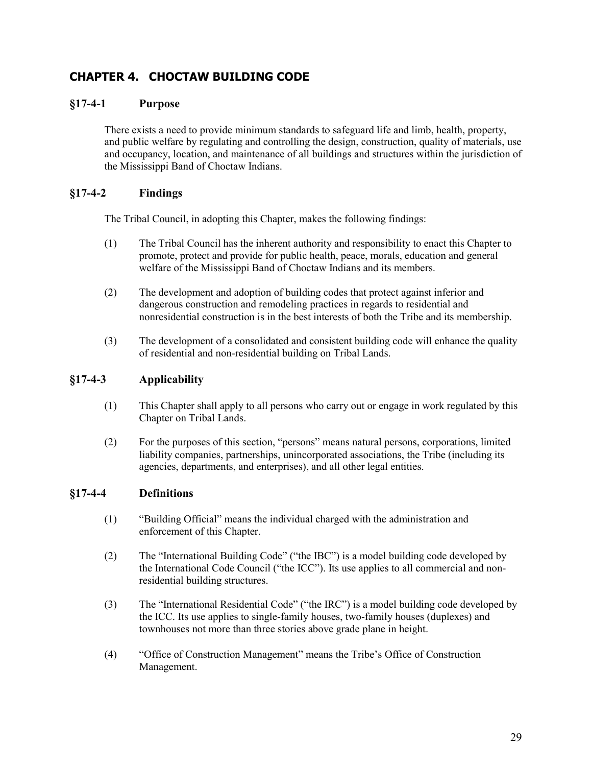# **CHAPTER 4. CHOCTAW BUILDING CODE**

# **§17-4-1 Purpose**

There exists a need to provide minimum standards to safeguard life and limb, health, property, and public welfare by regulating and controlling the design, construction, quality of materials, use and occupancy, location, and maintenance of all buildings and structures within the jurisdiction of the Mississippi Band of Choctaw Indians.

# **§17-4-2 Findings**

The Tribal Council, in adopting this Chapter, makes the following findings:

- (1) The Tribal Council has the inherent authority and responsibility to enact this Chapter to promote, protect and provide for public health, peace, morals, education and general welfare of the Mississippi Band of Choctaw Indians and its members.
- (2) The development and adoption of building codes that protect against inferior and dangerous construction and remodeling practices in regards to residential and nonresidential construction is in the best interests of both the Tribe and its membership.
- (3) The development of a consolidated and consistent building code will enhance the quality of residential and non-residential building on Tribal Lands.

# **§17-4-3 Applicability**

- (1) This Chapter shall apply to all persons who carry out or engage in work regulated by this Chapter on Tribal Lands.
- (2) For the purposes of this section, "persons" means natural persons, corporations, limited liability companies, partnerships, unincorporated associations, the Tribe (including its agencies, departments, and enterprises), and all other legal entities.

# **§17-4-4 Definitions**

- (1) "Building Official" means the individual charged with the administration and enforcement of this Chapter.
- (2) The "International Building Code" ("the IBC") is a model building code developed by the International Code Council ("the ICC"). Its use applies to all commercial and nonresidential building structures.
- (3) The "International Residential Code" ("the IRC") is a model building code developed by the ICC. Its use applies to single-family houses, two-family houses (duplexes) and townhouses not more than three stories above grade plane in height.
- (4) "Office of Construction Management" means the Tribe's Office of Construction Management.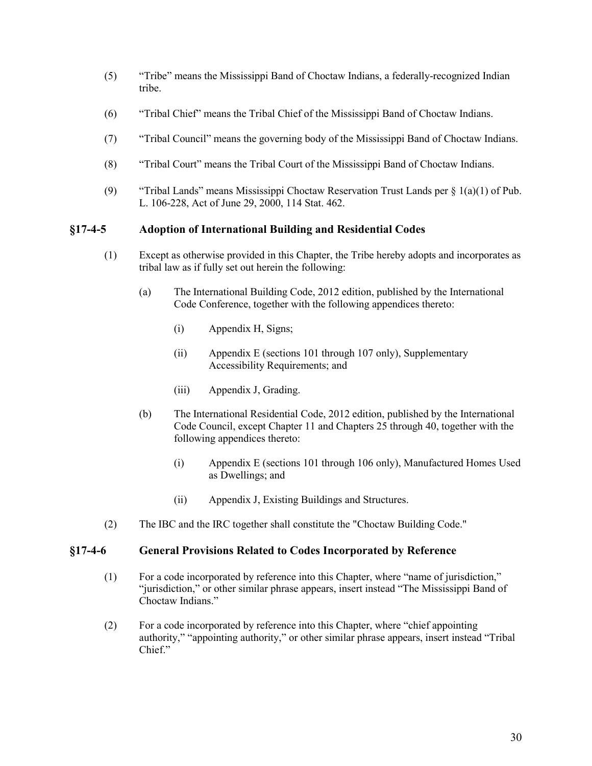- (5) "Tribe" means the Mississippi Band of Choctaw Indians, a federally-recognized Indian tribe.
- (6) "Tribal Chief" means the Tribal Chief of the Mississippi Band of Choctaw Indians.
- (7) "Tribal Council" means the governing body of the Mississippi Band of Choctaw Indians.
- (8) "Tribal Court" means the Tribal Court of the Mississippi Band of Choctaw Indians.
- (9) "Tribal Lands" means Mississippi Choctaw Reservation Trust Lands per § 1(a)(1) of Pub. L. 106-228, Act of June 29, 2000, 114 Stat. 462.

# **§17-4-5 Adoption of International Building and Residential Codes**

- (1) Except as otherwise provided in this Chapter, the Tribe hereby adopts and incorporates as tribal law as if fully set out herein the following:
	- (a) The International Building Code, 2012 edition, published by the International Code Conference, together with the following appendices thereto:
		- (i) Appendix H, Signs;
		- (ii) Appendix E (sections 101 through 107 only), Supplementary Accessibility Requirements; and
		- (iii) Appendix J, Grading.
	- (b) The International Residential Code, 2012 edition, published by the International Code Council, except Chapter 11 and Chapters 25 through 40, together with the following appendices thereto:
		- (i) Appendix E (sections 101 through 106 only), Manufactured Homes Used as Dwellings; and
		- (ii) Appendix J, Existing Buildings and Structures.
- (2) The IBC and the IRC together shall constitute the "Choctaw Building Code."

## **§17-4-6 General Provisions Related to Codes Incorporated by Reference**

- (1) For a code incorporated by reference into this Chapter, where "name of jurisdiction," "jurisdiction," or other similar phrase appears, insert instead "The Mississippi Band of Choctaw Indians."
- (2) For a code incorporated by reference into this Chapter, where "chief appointing authority," "appointing authority," or other similar phrase appears, insert instead "Tribal Chief."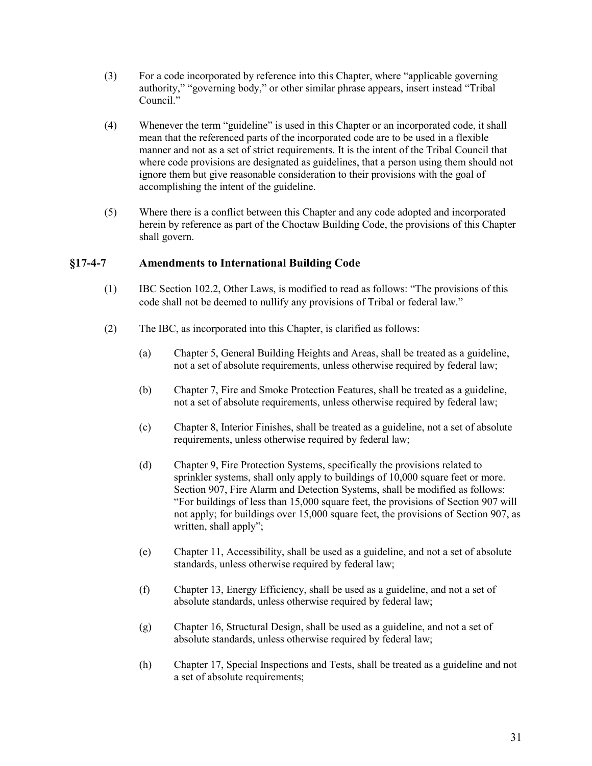- (3) For a code incorporated by reference into this Chapter, where "applicable governing authority," "governing body," or other similar phrase appears, insert instead "Tribal Council<sup>"</sup>
- (4) Whenever the term "guideline" is used in this Chapter or an incorporated code, it shall mean that the referenced parts of the incorporated code are to be used in a flexible manner and not as a set of strict requirements. It is the intent of the Tribal Council that where code provisions are designated as guidelines, that a person using them should not ignore them but give reasonable consideration to their provisions with the goal of accomplishing the intent of the guideline.
- (5) Where there is a conflict between this Chapter and any code adopted and incorporated herein by reference as part of the Choctaw Building Code, the provisions of this Chapter shall govern.

# **§17-4-7 Amendments to International Building Code**

- (1) IBC Section 102.2, Other Laws, is modified to read as follows: "The provisions of this code shall not be deemed to nullify any provisions of Tribal or federal law."
- (2) The IBC, as incorporated into this Chapter, is clarified as follows:
	- (a) Chapter 5, General Building Heights and Areas, shall be treated as a guideline, not a set of absolute requirements, unless otherwise required by federal law;
	- (b) Chapter 7, Fire and Smoke Protection Features, shall be treated as a guideline, not a set of absolute requirements, unless otherwise required by federal law;
	- (c) Chapter 8, Interior Finishes, shall be treated as a guideline, not a set of absolute requirements, unless otherwise required by federal law;
	- (d) Chapter 9, Fire Protection Systems, specifically the provisions related to sprinkler systems, shall only apply to buildings of 10,000 square feet or more. Section 907, Fire Alarm and Detection Systems, shall be modified as follows: "For buildings of less than 15,000 square feet, the provisions of Section 907 will not apply; for buildings over 15,000 square feet, the provisions of Section 907, as written, shall apply";
	- (e) Chapter 11, Accessibility, shall be used as a guideline, and not a set of absolute standards, unless otherwise required by federal law;
	- (f) Chapter 13, Energy Efficiency, shall be used as a guideline, and not a set of absolute standards, unless otherwise required by federal law;
	- (g) Chapter 16, Structural Design, shall be used as a guideline, and not a set of absolute standards, unless otherwise required by federal law;
	- (h) Chapter 17, Special Inspections and Tests, shall be treated as a guideline and not a set of absolute requirements;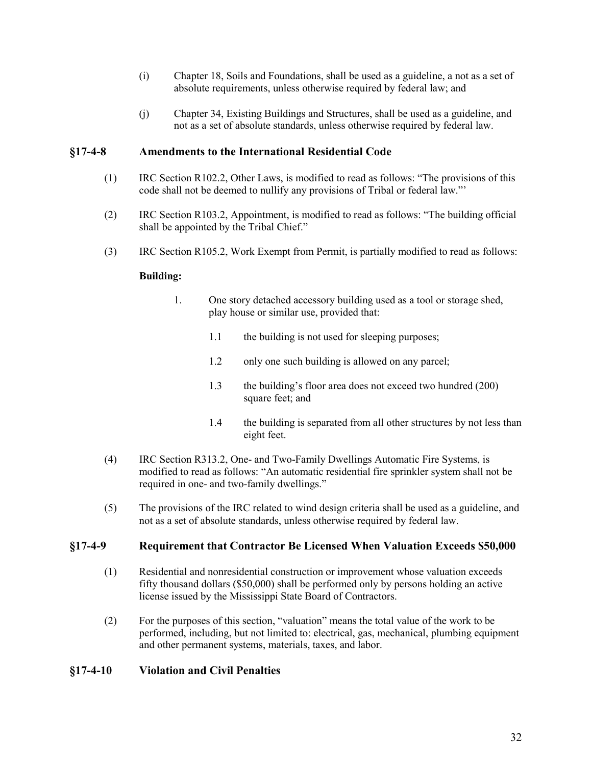- (i) Chapter 18, Soils and Foundations, shall be used as a guideline, a not as a set of absolute requirements, unless otherwise required by federal law; and
- (j) Chapter 34, Existing Buildings and Structures, shall be used as a guideline, and not as a set of absolute standards, unless otherwise required by federal law.

# **§17-4-8 Amendments to the International Residential Code**

- (1) IRC Section R102.2, Other Laws, is modified to read as follows: "The provisions of this code shall not be deemed to nullify any provisions of Tribal or federal law."'
- (2) IRC Section R103.2, Appointment, is modified to read as follows: "The building official shall be appointed by the Tribal Chief."
- (3) IRC Section R105.2, Work Exempt from Permit, is partially modified to read as follows:

#### **Building:**

- 1. One story detached accessory building used as a tool or storage shed, play house or similar use, provided that:
	- 1.1 the building is not used for sleeping purposes;
	- 1.2 only one such building is allowed on any parcel;
	- 1.3 the building's floor area does not exceed two hundred (200) square feet; and
	- 1.4 the building is separated from all other structures by not less than eight feet.
- (4) IRC Section R313.2, One- and Two-Family Dwellings Automatic Fire Systems, is modified to read as follows: "An automatic residential fire sprinkler system shall not be required in one- and two-family dwellings."
- (5) The provisions of the IRC related to wind design criteria shall be used as a guideline, and not as a set of absolute standards, unless otherwise required by federal law.

# **§17-4-9 Requirement that Contractor Be Licensed When Valuation Exceeds \$50,000**

- (1) Residential and nonresidential construction or improvement whose valuation exceeds fifty thousand dollars (\$50,000) shall be performed only by persons holding an active license issued by the Mississippi State Board of Contractors.
- (2) For the purposes of this section, "valuation" means the total value of the work to be performed, including, but not limited to: electrical, gas, mechanical, plumbing equipment and other permanent systems, materials, taxes, and labor.

# **§17-4-10 Violation and Civil Penalties**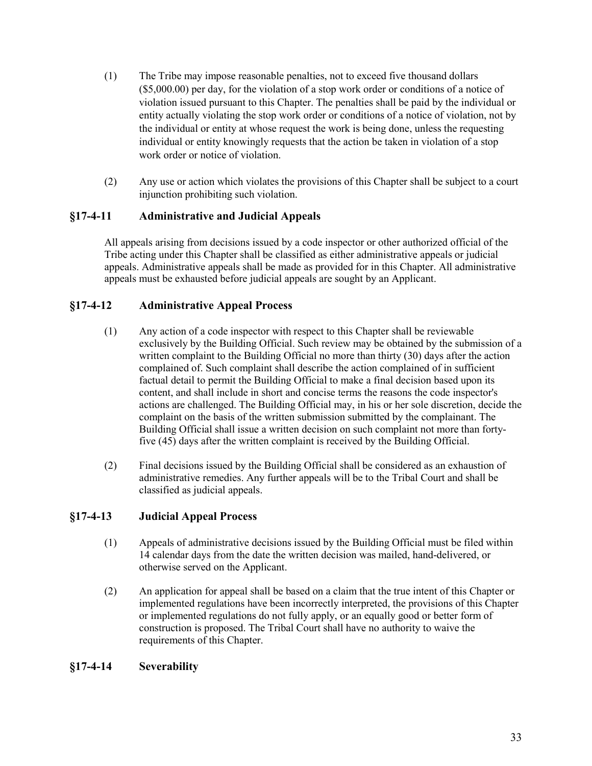- (1) The Tribe may impose reasonable penalties, not to exceed five thousand dollars (\$5,000.00) per day, for the violation of a stop work order or conditions of a notice of violation issued pursuant to this Chapter. The penalties shall be paid by the individual or entity actually violating the stop work order or conditions of a notice of violation, not by the individual or entity at whose request the work is being done, unless the requesting individual or entity knowingly requests that the action be taken in violation of a stop work order or notice of violation.
- (2) Any use or action which violates the provisions of this Chapter shall be subject to a court injunction prohibiting such violation.

# **§17-4-11 Administrative and Judicial Appeals**

All appeals arising from decisions issued by a code inspector or other authorized official of the Tribe acting under this Chapter shall be classified as either administrative appeals or judicial appeals. Administrative appeals shall be made as provided for in this Chapter. All administrative appeals must be exhausted before judicial appeals are sought by an Applicant.

# **§17-4-12 Administrative Appeal Process**

- (1) Any action of a code inspector with respect to this Chapter shall be reviewable exclusively by the Building Official. Such review may be obtained by the submission of a written complaint to the Building Official no more than thirty (30) days after the action complained of. Such complaint shall describe the action complained of in sufficient factual detail to permit the Building Official to make a final decision based upon its content, and shall include in short and concise terms the reasons the code inspector's actions are challenged. The Building Official may, in his or her sole discretion, decide the complaint on the basis of the written submission submitted by the complainant. The Building Official shall issue a written decision on such complaint not more than fortyfive (45) days after the written complaint is received by the Building Official.
- (2) Final decisions issued by the Building Official shall be considered as an exhaustion of administrative remedies. Any further appeals will be to the Tribal Court and shall be classified as judicial appeals.

# **§17-4-13 Judicial Appeal Process**

- (1) Appeals of administrative decisions issued by the Building Official must be filed within 14 calendar days from the date the written decision was mailed, hand-delivered, or otherwise served on the Applicant.
- (2) An application for appeal shall be based on a claim that the true intent of this Chapter or implemented regulations have been incorrectly interpreted, the provisions of this Chapter or implemented regulations do not fully apply, or an equally good or better form of construction is proposed. The Tribal Court shall have no authority to waive the requirements of this Chapter.

# **§17-4-14 Severability**